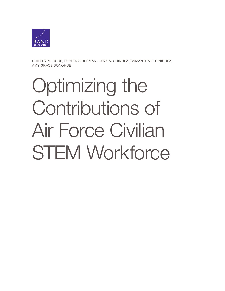

SHIRLEY M. ROSS, REBECCA HERMAN, IRINA A. CHINDEA, SAMANTHA E. DINICOLA, AMY GRACE DONOHUE

# Optimizing the Contributions of [Air Force Civilian](https://www.rand.org/pubs/research_reports/RR4234.html)  STEM Workforce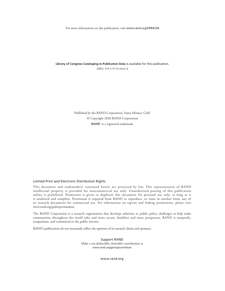For more information on this publication, visit [www.rand.org/t/RR4234](http://www.rand.org/t/RR4234)

**Library of Congress Cataloging-in-Publication Data** is available for this publication. ISBN: 978-1-9774-0442-8

> Published by the RAND Corporation, Santa Monica, Calif. © Copyright 2020 RAND Corporation RAND<sup>®</sup> is a registered trademark.

#### Limited Print and Electronic Distribution Rights

This document and trademark(s) contained herein are protected by law. This representation of RAND intellectual property is provided for noncommercial use only. Unauthorized posting of this publication online is prohibited. Permission is given to duplicate this document for personal use only, as long as it is unaltered and complete. Permission is required from RAND to reproduce, or reuse in another form, any of its research documents for commercial use. For information on reprint and linking permissions, please visit [www.rand.org/pubs/permissions.](http://www.rand.org/pubs/permissions)

The RAND Corporation is a research organization that develops solutions to public policy challenges to help make communities throughout the world safer and more secure, healthier and more prosperous. RAND is nonprofit, nonpartisan, and committed to the public interest.

RAND's publications do not necessarily reflect the opinions of its research clients and sponsors.

Support RAND Make a tax-deductible charitable contribution at [www.rand.org/giving/contribute](http://www.rand.org/giving/contribute)

[www.rand.org](http://www.rand.org)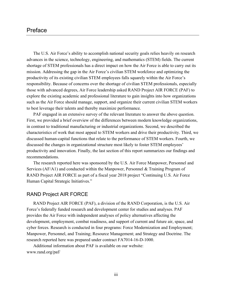#### Preface

The U.S. Air Force's ability to accomplish national security goals relies heavily on research advances in the science, technology, engineering, and mathematics (STEM) fields. The current shortage of STEM professionals has a direct impact on how the Air Force is able to carry out its mission. Addressing the gap in the Air Force's civilian STEM workforce and optimizing the productivity of its existing civilian STEM employees falls squarely within the Air Force's responsibility. Because of concerns over the shortage of civilian STEM professionals, especially those with advanced degrees, Air Force leadership asked RAND Project AIR FORCE (PAF) to explore the existing academic and professional literature to gain insights into how organizations such as the Air Force should manage, support, and organize their current civilian STEM workers to best leverage their talents and thereby maximize performance.

PAF engaged in an extensive survey of the relevant literature to answer the above question. First, we provided a brief overview of the differences between modern knowledge organizations, in contrast to traditional manufacturing or industrial organizations. Second, we described the characteristics of work that most appeal to STEM workers and drive their productivity. Third, we discussed human-capital functions that relate to the performance of STEM workers. Fourth, we discussed the changes in organizational structure most likely to foster STEM employees' productivity and innovation. Finally, the last section of this report summarizes our findings and recommendations.

The research reported here was sponsored by the U.S. Air Force Manpower, Personnel and Services (AF/A1) and conducted within the Manpower, Personnel & Training Program of RAND Project AIR FORCE as part of a fiscal year 2018 project "Continuing U.S. Air Force Human Capital Strategic Initiatives."

#### RAND Project AIR FORCE

RAND Project AIR FORCE (PAF), a division of the RAND Corporation, is the U.S. Air Force's federally funded research and development center for studies and analyses. PAF provides the Air Force with independent analyses of policy alternatives affecting the development, employment, combat readiness, and support of current and future air, space, and cyber forces. Research is conducted in four programs: Force Modernization and Employment; Manpower, Personnel, and Training; Resource Management; and Strategy and Doctrine. The research reported here was prepared under contract FA7014-16-D-1000.

Additional information about PAF is available on our website: [www.rand.org/paf/](http://www.rand.org/paf/)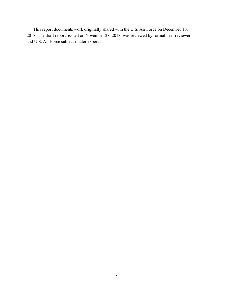This report documents work originally shared with the U.S. Air Force on December 10, 2018. The draft report, issued on November 28, 2018, was reviewed by formal peer reviewers and U.S. Air Force subject-matter experts.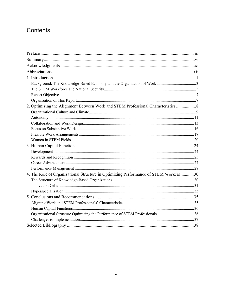## Contents

| 2. Optimizing the Alignment Between Work and STEM Professional Characteristics 8    |
|-------------------------------------------------------------------------------------|
|                                                                                     |
|                                                                                     |
|                                                                                     |
|                                                                                     |
|                                                                                     |
|                                                                                     |
|                                                                                     |
|                                                                                     |
|                                                                                     |
|                                                                                     |
|                                                                                     |
| 4. The Role of Organizational Structure in Optimizing Performance of STEM Workers30 |
|                                                                                     |
|                                                                                     |
|                                                                                     |
|                                                                                     |
|                                                                                     |
|                                                                                     |
| Organizational Structure Optimizing the Performance of STEM Professionals 36        |
|                                                                                     |
|                                                                                     |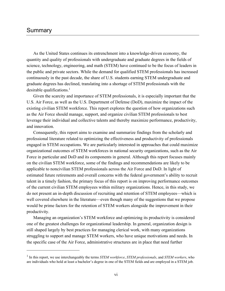#### **Summary**

As the United States continues its entrenchment into a knowledge-driven economy, the quantity and quality of professionals with undergraduate and graduate degrees in the fields of science, technology, engineering, and math (STEM) have continued to be the focus of leaders in the public and private sectors. While the demand for qualified STEM professionals has increased continuously in the past decade, the share of U.S. students earning STEM undergraduate and graduate degrees has declined, translating into a shortage of STEM professionals with the desirable qualifications.<sup>1</sup>

Given the scarcity and importance of STEM professionals, it is especially important that the U.S. Air Force, as well as the U.S. Department of Defense (DoD), maximize the impact of the existing civilian STEM workforce. This report explores the question of how organizations such as the Air Force should manage, support, and organize civilian STEM professionals to best leverage their individual and collective talents and thereby maximize performance, productivity, and innovation.

Consequently, this report aims to examine and summarize findings from the scholarly and professional literature related to optimizing the effectiveness and productivity of professionals engaged in STEM occupations. We are particularly interested in approaches that could maximize organizational outcomes of STEM workforces in national security organizations, such as the Air Force in particular and DoD and its components in general. Although this report focuses mainly on the civilian STEM workforce, some of the findings and recommendations are likely to be applicable to noncivilian STEM professionals across the Air Force and DoD. In light of estimated future retirements and overall concerns with the federal government's ability to recruit talent in a timely fashion, the primary focus of this report is on improving performance outcomes of the current civilian STEM employees within military organizations. Hence, in this study, we do not present an in-depth discussion of recruiting and retention of STEM employees—which is well covered elsewhere in the literature—even though many of the suggestions that we propose would be prime factors for the retention of STEM workers alongside the improvement in their productivity.

Managing an organization's STEM workforce and optimizing its productivity is considered one of the greatest challenges for organizational leadership. In general, organization design is still shaped largely by best practices for managing clerical work, with many organizations struggling to support and manage STEM workers, who have unique motivations and needs. In the specific case of the Air Force, administrative structures are in place that need further

<sup>1</sup> In this report, we use interchangeably the terms *STEM workforce*, *STEM professionals*, and *STEM workers*, who are individuals who hold at least a bachelor's degree in one of the STEM fields and are employed in a STEM job.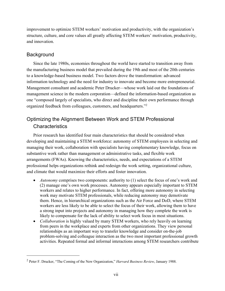improvement to optimize STEM workers' motivation and productivity, with the organization's structure, culture, and core values all greatly affecting STEM workers' motivation, productivity, and innovation.

## **Background**

Since the late 1980s, economies throughout the world have started to transition away from the manufacturing business model that prevailed during the 19th and most of the 20th centuries to a knowledge-based business model. Two factors drove the transformation: advanced information technology and the need for industry to innovate and become more entrepreneurial. Management consultant and academic Peter Drucker—whose work laid out the foundations of management science in the modern corporation—defined the information-based organization as one "composed largely of specialists, who direct and discipline their own performance through organized feedback from colleagues, customers, and headquarters."2

## Optimizing the Alignment Between Work and STEM Professional **Characteristics**

Prior research has identified four main characteristics that should be considered when developing and maintaining a STEM workforce: autonomy of STEM employees in selecting and managing their work, collaboration with specialists having complementary knowledge, focus on substantive work rather than management or administrative tasks, and flexible work arrangements (FWAs). Knowing the characteristics, needs, and expectations of a STEM professional helps organizations rethink and redesign the work setting, organizational culture, and climate that would maximize their efforts and foster innovation.

- *Autonomy* comprises two components: authority to (1) select the focus of one's work and (2) manage one's own work processes. Autonomy appears especially important to STEM workers and relates to higher performance. In fact, offering more autonomy in selecting work may motivate STEM professionals, while reducing autonomy may demotivate them. Hence, in hierarchical organizations such as the Air Force and DoD, where STEM workers are less likely to be able to select the focus of their work, allowing them to have a strong input into projects and autonomy in managing how they complete the work is likely to compensate for the lack of ability to select work focus in most situations.
- *Collaboration* is highly valued by many STEM workers, who rely heavily on learning from peers in the workplace and experts from other organizations. They view personal relationships as an important way to transfer knowledge and consider on-the-job problem-solving and colleague interaction as the two most important professional growth activities. Repeated formal and informal interactions among STEM researchers contribute

<sup>2</sup> Peter F. Drucker, "The Coming of the New Organization," *Harvard Business Review*, January 1988.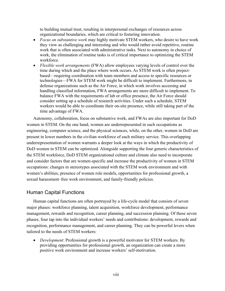to building mutual trust, resulting in interpersonal exchanges of resources across organizational boundaries, which are critical to fostering innovation.

- *Focus on substantive work* may highly motivate STEM workers, who desire to have work they view as challenging and interesting and who would rather avoid repetitive, routine work that is often associated with administrative tasks. Next to autonomy in choice of work, the elimination of routine tasks is of critical importance to optimizing the STEM workforce.
- *Flexible work arrangements* (FWA) allow employees varying levels of control over the time during which and the place where work occurs. As STEM work is often projectbased—requiring coordination with team members and access to specific resources or technologies—FWA for STEM work might be difficult to implement. Furthermore, in defense organizations such as the Air Force, in which work involves accessing and handling classified information, FWA arrangements are more difficult to implement. To balance FWA with the requirements of lab or office presence, the Air Force should consider setting up a schedule of research activities. Under such a schedule, STEM workers would be able to coordinate their on-site presence, while still taking part of the time advantage of FWA.

Autonomy, collaboration, focus on substantive work, and FWAs are also important for DoD women in STEM. On the one hand, women are underrepresented in such occupations as engineering, computer science, and the physical sciences, while, on the other, women in DoD are present in lower numbers in the civilian workforce of each military service. This overlapping underrepresentation of women warrants a deeper look at the ways in which the productivity of DoD women in STEM can be optimized. Alongside supporting the four generic characteristics of the STEM workforce, DoD STEM organizational culture and climate also need to incorporate and consider factors that are women-specific and increase the productivity of women in STEM occupations: changes in stereotypes associated with the STEM work environment and with women's abilities, presence of women role models, opportunities for professional growth, a sexual harassment–free work environment, and family-friendly policies.

#### Human Capital Functions

Human capital functions are often portrayed by a life-cycle model that consists of seven major phases: workforce planning, talent acquisition, workforce development, performance management, rewards and recognition, career planning, and succession planning. Of these seven phases, four tap into the individual workers' needs and contributions: development, rewards and recognition, performance management, and career planning. They can be powerful levers when tailored to the needs of STEM workers:

• *Development*: Professional growth is a powerful motivator for STEM workers. By providing opportunities for professional growth, an organization can create a more positive work environment and increase workers' self-motivation.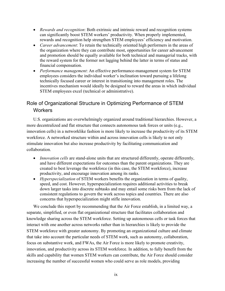- *Rewards and recognition*: Both extrinsic and intrinsic reward and recognition systems can significantly boost STEM workers' productivity. When properly implemented, rewards and recognition help strengthen STEM employees' efficiency and motivation.
- *Career advancement*: To retain the technically oriented high performers in the areas of the organization where they can contribute most, opportunities for career advancement and promotion should be equally available for both technical and managerial tracks, with the reward system for the former not lagging behind the latter in terms of status and financial compensation.
- *Performance management*: An effective performance-management system for STEM employees considers the individual worker's inclination toward pursuing a lifelong technically focused career or interest in transitioning into management roles. The incentives mechanism would ideally be designed to reward the areas in which individual STEM employees excel (technical or administrative).

## Role of Organizational Structure in Optimizing Performance of STEM **Workers**

U.S. organizations are overwhelmingly organized around traditional hierarchies. However, a more decentralized and flat structure that connects autonomous task forces or units (e.g., innovation cells) in a networklike fashion is more likely to increase the productivity of its STEM workforce. A networked structure within and across innovation cells is likely to not only stimulate innovation but also increase productivity by facilitating communication and collaboration.

- *Innovation cells* are stand-alone units that are structured differently, operate differently, and have different expectations for outcomes than the parent organizations. They are created to best leverage the workforce (in this case, the STEM workforce), increase productivity, and encourage innovation among its ranks.
- *Hyperspecialization* of STEM workers benefits the organization in terms of quality, speed, and cost. However, hyperspecialization requires additional activities to break down larger tasks into discrete subtasks and may entail some risks born from the lack of consistent regulations to govern the work across topics and countries. There are also concerns that hyperspecialization might stifle innovation.

We conclude this report by recommending that the Air Force establish, in a limited way, a separate, simplified, or even flat organizational structure that facilitates collaboration and knowledge sharing across the STEM workforce. Setting up autonomous cells or task forces that interact with one another across networks rather than in hierarchies is likely to provide the STEM workforce with greater autonomy. By promoting an organizational culture and climate that take into account the particular needs of STEM work, such as autonomy, collaboration, focus on substantive work, and FWAs, the Air Force is more likely to promote creativity, innovation, and productivity across its STEM workforce. In addition, to fully benefit from the skills and capability that women STEM workers can contribute, the Air Force should consider increasing the number of successful women who could serve as role models, providing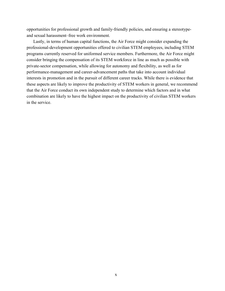opportunities for professional growth and family-friendly policies, and ensuring a stereotypeand sexual harassment–free work environment.

Lastly, in terms of human capital functions, the Air Force might consider expanding the professional-development opportunities offered to civilian STEM employees, including STEM programs currently reserved for uniformed service members. Furthermore, the Air Force might consider bringing the compensation of its STEM workforce in line as much as possible with private-sector compensation, while allowing for autonomy and flexibility, as well as for performance-management and career-advancement paths that take into account individual interests in promotion and in the pursuit of different career tracks. While there is evidence that these aspects are likely to improve the productivity of STEM workers in general, we recommend that the Air Force conduct its own independent study to determine which factors and in what combination are likely to have the highest impact on the productivity of civilian STEM workers in the service.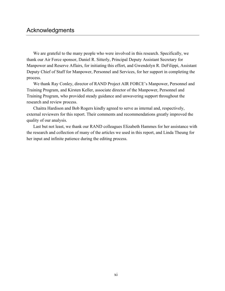## Acknowledgments

We are grateful to the many people who were involved in this research. Specifically, we thank our Air Force sponsor, Daniel R. Sitterly, Principal Deputy Assistant Secretary for Manpower and Reserve Affairs, for initiating this effort, and Gwendolyn R. DeFilippi, Assistant Deputy Chief of Staff for Manpower, Personnel and Services, for her support in completing the process.

We thank Ray Conley, director of RAND Project AIR FORCE's Manpower, Personnel and Training Program, and Kirsten Keller, associate director of the Manpower, Personnel and Training Program, who provided steady guidance and unwavering support throughout the research and review process.

Chaitra Hardison and Bob Rogers kindly agreed to serve as internal and, respectively, external reviewers for this report. Their comments and recommendations greatly improved the quality of our analysis.

Last but not least, we thank our RAND colleagues Elizabeth Hammes for her assistance with the research and collection of many of the articles we used in this report, and Linda Theung for her input and infinite patience during the editing process.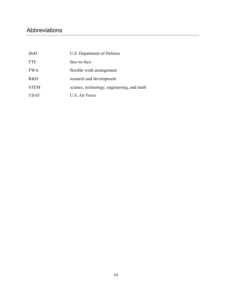## Abbreviations

| DoD         | U.S. Department of Defense                 |
|-------------|--------------------------------------------|
| <b>FTF</b>  | face-to-face                               |
| <b>FWA</b>  | flexible work arrangement                  |
| R&D         | research and development                   |
| <b>STEM</b> | science, technology, engineering, and math |
| <b>USAF</b> | U.S. Air Force                             |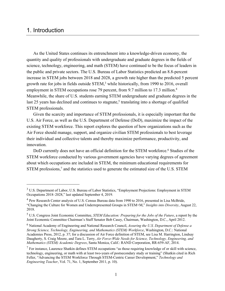## 1. Introduction

As the United States continues its entrenchment into a knowledge-driven economy, the quantity and quality of professionals with undergraduate and graduate degrees in the fields of science, technology, engineering, and math (STEM) have continued to be the focus of leaders in the public and private sectors. The U.S. Bureau of Labor Statistics predicted an 8.8-percent increase in STEM jobs between 2018 and 2028, a growth rate higher than the predicted 5 percent growth rate for jobs in fields outside STEM,<sup>3</sup> while historically, from 1990 to 2016, overall employment in STEM occupations rose 79 percent, from 9.7 million to 17.3 million.<sup>4</sup> Meanwhile, the share of U.S. students earning STEM undergraduate and graduate degrees in the last 25 years has declined and continues to stagnate,<sup>5</sup> translating into a shortage of qualified STEM professionals.

Given the scarcity and importance of STEM professionals, it is especially important that the U.S. Air Force, as well as the U.S. Department of Defense (DoD), maximize the impact of the existing STEM workforce. This report explores the question of how organizations such as the Air Force should manage, support, and organize civilian STEM professionals to best leverage their individual and collective talents and thereby maximize performance, productivity, and innovation.

DoD currently does not have an official definition for the STEM workforce.<sup>6</sup> Studies of the STEM workforce conducted by various government agencies have varying degrees of agreement about which occupations are included in STEM, the minimum educational requirements for STEM professions,<sup>7</sup> and the statistics used to generate the estimated size of the U.S. STEM

<sup>3</sup> U.S. Department of Labor, U.S. Bureau of Labor Statistics, "Employment Projections: Employment in STEM Occupations 2018–2028," last updated September 4, 2019.

<sup>4</sup> Pew Research Center analysis of U.S. Census Bureau data from 1990 to 2016, presented in Lisa McBride, "Changing the Culture for Women and Underrepresented Groups in STEM+M," *Insights into Diversity*, August 22, 2018.

<sup>5</sup> U.S. Congress Joint Economic Committee, *STEM Education: Preparing for the Jobs of the Future*, a report by the Joint Economic Committee Chairman's Staff Senator Bob Casey, Chairman, Washington, D.C., April 2012.

<sup>6</sup> National Academy of Engineering and National Research Council, *Assuring the U.S. Department of Defense a Strong Science, Technology, Engineering, and Mathematics (STEM) Workforce*, Washington, D.C.: National Academies Press, 2012, p. 37; for a discussion of Air Force definition of STEM, see Lisa M. Harrington, Lindsay Daugherty, S. Craig Moore, and Tara L. Terry, *Air Force-Wide Needs for Science, Technology, Engineering, and Mathematics (STEM) Academic Degrees*, Santa Monica, Calif.: RAND Corporation, RR-659-AF, 2014.

 $<sup>7</sup>$  For instance, Laurence Shatkin defines STEM occupations "as those requiring knowledge of or skill with science,</sup> technology, engineering, or math with at least two-years of postsecondary study or training" (Shatkin cited in Rich Feller, "Advancing the STEM Workforce Through STEM-Centric Career Development," *Technology and Engineering Teacher*, Vol. 71, No. 1, September 2011, p. 10).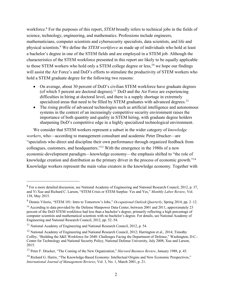workforce.8 For the purposes of this report, *STEM* broadly refers to technical jobs in the fields of science, technology, engineering, and mathematics. Professions include engineers, mathematicians, computer scientists and cybersecurity specialists, data scientists, and life and physical scientists.9 We define the *STEM workforce* as made up of individuals who hold at least a bachelor's degree in one of the STEM fields and are employed in a STEM job. Although the characteristics of the STEM workforce presented in this report are likely to be equally applicable to those STEM workers who hold only a STEM college degree or less,<sup>10</sup> we hope our findings will assist the Air Force's and DoD's efforts to stimulate the productivity of STEM workers who hold a STEM graduate degree for the following two reasons:

- On average, about 30 percent of DoD's civilian STEM workforce have graduate degrees (of which 5 percent are doctoral degrees).<sup>11</sup> DoD and the Air Force are experiencing difficulties in hiring at doctoral level, and there is a supply shortage in extremely specialized areas that need to be filled by STEM graduates with advanced degrees.<sup>12</sup>
- The rising profile of advanced technologies such as artificial intelligence and autonomous systems in the context of an increasingly competitive security environment raises the importance of both quantity and quality in STEM hiring, with graduate degree holders sharpening DoD's competitive edge in a highly specialized technological environment.

We consider that STEM workers represent a subset in the wider category of *knowledge workers*, who—according to management consultant and academic Peter Drucker—are "specialists who direct and discipline their own performance through organized feedback from colleagues, customers, and headquarters."13 With the emergence in the 1980s of a new economic-development paradigm—knowledge economy—the emphasis shifted to "the role of knowledge creation and distribution as the primary driver in the process of economic growth."14 Knowledge workers represent the main value creators in the knowledge economy. Together with

<sup>8</sup> For a more detailed discussion, see National Academy of Engineering and National Research Council, 2012, p. 37, and Yi Xue and Richard C. Larson, "STEM Crisis or STEM Surplus: Yes and Yes," *Monthly Labor Review*, Vol. 138, May 2015.

<sup>9</sup> Dennis Vilorio, "STEM 101: Intro to Tomorrow's Jobs," *Occupational Outlook Quarterly*, Spring 2014, pp. 2–12.

<sup>&</sup>lt;sup>10</sup> According to data provided by the Defense Manpower Data Center, between 2001 and 2011, approximately 23 percent of the DoD STEM workforce had less than a bachelor's degree, primarily reflecting a high percentage of computer scientists and mathematical scientists with no bachelor's degree. For details, see National Academy of Engineering and National Research Council, 2012, pp. 52–54.

<sup>&</sup>lt;sup>11</sup> National Academy of Engineering and National Research Council, 2012, p. 54.

<sup>&</sup>lt;sup>12</sup> National Academy of Engineering and National Research Council, 2012; Harrington et al., 2014; Timothy Coffey, "Building the S&E Workforce for 2040: Challenges Facing the Department of Defense," Washington, D.C.: Center for Technology and National Security Policy, National Defense University, July 2008; Xue and Larson, 2015.

<sup>13</sup> Peter F. Drucker, "The Coming of the New Organization," *Harvard Business Review*, January 1988, p. 45.

<sup>&</sup>lt;sup>14</sup> Richard G. Harris, "The Knowledge-Based Economy: Intellectual Origins and New Economic Perspectives," *International Journal of Management Reviews*, Vol. 3, No. 1, March 2001, p. 21.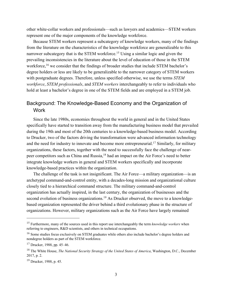other white-collar workers and professionals—such as lawyers and academics—STEM workers represent one of the major components of the knowledge workforce.

Because STEM workers represent a subcategory of knowledge workers, many of the findings from the literature on the characteristics of the knowledge workforce are generalizable to this narrower subcategory that is the STEM workforce.<sup>15</sup> Using a similar logic and given the prevailing inconsistencies in the literature about the level of education of those in the STEM workforce,<sup>16</sup> we consider that the findings of broader studies that include STEM bachelor's degree holders or less are likely to be generalizable to the narrower category of STEM workers with postgraduate degrees. Therefore, unless specified otherwise, we use the terms *STEM workforce*, *STEM professionals*, and *STEM workers* interchangeably to refer to individuals who hold at least a bachelor's degree in one of the STEM fields and are employed in a STEM job.

## Background: The Knowledge-Based Economy and the Organization of **Work**

Since the late 1980s, economies throughout the world in general and in the United States specifically have started to transition away from the manufacturing business model that prevailed during the 19th and most of the 20th centuries to a knowledge-based business model. According to Drucker, two of the factors driving the transformation were advanced information technology and the need for industry to innovate and become more entrepreneurial.<sup>17</sup> Similarly, for military organizations, these factors, together with the need to successfully face the challenge of nearpeer competitors such as China and Russia,18 had an impact on the Air Force's need to better integrate knowledge workers in general and STEM workers specifically and incorporate knowledge-based practices within the organization.

The challenge of the task is not insignificant. The Air Force—a military organization—is an archetypal command-and-control entity, with a decades-long mission and organizational culture closely tied to a hierarchical command structure. The military command-and-control organization has actually inspired, in the last century, the organization of businesses and the second evolution of business organizations.<sup>19</sup> As Drucker observed, the move to a knowledgebased organization represented the driver behind a third evolutionary phase in the structure of organizations. However, military organizations such as the Air Force have largely remained

<sup>15</sup> Furthermore, many of the sources used in this report use interchangeably the term *knowledge workers* when referring to engineers, R&D scientists, and others in technical occupations.

<sup>&</sup>lt;sup>16</sup> Some studies focus exclusively on STEM graduates while others also include bachelor's degree holders and nondegree holders as part of the STEM workforce.

<sup>17</sup> Drucker, 1988, pp. 45–46.

<sup>18</sup> The White House, *The National Security Strategy of the United States of America*, Washington, D.C., December 2017, p. 2.

<sup>19</sup> Drucker, 1988, p. 45.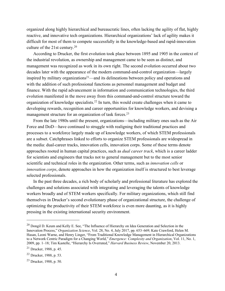organized along highly hierarchical and bureaucratic lines, often lacking the agility of flat, highly reactive, and innovative tech organizations. Hierarchical organizations' lack of agility makes it difficult for most of them to compete successfully in the knowledge-based and rapid-innovation culture of the 21st century.<sup>20</sup>

According to Drucker, the first evolution took place between 1895 and 1905 in the context of the industrial revolution, as ownership and management came to be seen as distinct, and management was recognized as work in its own right. The second evolution occurred about two decades later with the appearance of the modern command-and-control organization—largely inspired by military organizations<sup>21</sup>—and its delineations between policy and operations and with the addition of such professional functions as personnel management and budget and finance. With the rapid advancement in information and communication technologies, the third evolution manifested in the move away from this command-and-control structure toward the organization of knowledge specialists.22 In turn, this would create challenges when it came to developing rewards, recognition and career opportunities for knowledge workers, and devising a management structure for an organization of task forces.<sup>23</sup>

From the late 1980s until the present, organizations—including military ones such as the Air Force and DoD—have continued to struggle with realigning their traditional practices and processes to a workforce largely made up of knowledge workers, of which STEM professionals are a subset. Catchphrases linked to efforts to organize STEM professionals are widespread in the media: dual-career tracks, innovation cells, innovation corps. Some of these terms denote approaches rooted in human capital practices, such as *dual career track*, which is a career ladder for scientists and engineers that tracks not to general management but to the most senior scientific and technical roles in the organization. Other terms, such as *innovation cells* or *innovation corps*, denote approaches in how the organization itself is structured to best leverage selected professionals.

In the past three decades, a rich body of scholarly and professional literature has explored the challenges and solutions associated with integrating and leveraging the talents of knowledge workers broadly and of STEM workers specifically. For military organizations, which still find themselves in Drucker's second evolutionary phase of organizational structure, the challenge of optimizing the productivity of their STEM workforce is even more daunting, as it is highly pressing in the existing international security environment.

<sup>&</sup>lt;sup>20</sup> Dongil D. Keum and Kelly E. See, "The Influence of Hierarchy on Idea Generation and Selection in the Innovation Process," *Organization Science*, Vol. 28, No. 4, July 2017, pp. 653–669; Kate Crawford, Helen M. Hasan, Leoni Warne, and Henry Linger, "From Traditional Knowledge Management in Hierarchical Organizations to a Network Centric Paradigm for a Changing World," *Emergence: Complexity and Organization*, Vol. 11, No. 1, 2009, pp. 1–18; Tim Kastelle, "Hierarchy Is Overrated," *Harvard Business Review*, November 20, 2013.

<sup>21</sup> Drucker, 1988, p. 45.

<sup>22</sup> Drucker, 1988, p. 53.

<sup>23</sup> Drucker, 1988, p. 50.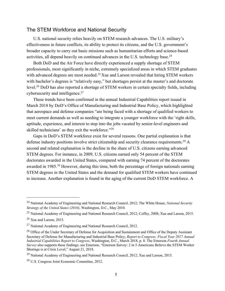#### The STEM Workforce and National Security

U.S. national security relies heavily on STEM research advances. The U.S. military's effectiveness in future conflicts, its ability to protect its citizens, and the U.S. government's broader capacity to carry out basic missions such as humanitarian efforts and science-based activities, all depend heavily on continued advances in the U.S. technology base.<sup>24</sup>

Both DoD and the Air Force have directly experienced a supply shortage of STEM professionals, most significantly in niche, extremely specialized areas in which STEM graduates with advanced degrees are most needed.<sup>25</sup> Xue and Larson revealed that hiring STEM workers with bachelor's degrees is "relatively easy," but shortages persist at the master's and doctorate level.26 DoD has also reported a shortage of STEM workers in certain specialty fields, including cybersecurity and intelligence.<sup>27</sup>

These trends have been confirmed in the annual Industrial Capabilities report issued in March 2018 by DoD's Office of Manufacturing and Industrial Base Policy, which highlighted that aerospace and defense companies "are being faced with a shortage of qualified workers to meet current demands as well as needing to integrate a younger workforce with the 'right skills, aptitude, experience, and interest to step into the jobs vacated by senior-level engineers and skilled technicians' as they exit the workforce."<sup>28</sup>

Gaps in DoD's STEM workforce exist for several reasons. One partial explanation is that defense industry positions involve strict citizenship and security clearance requirements.<sup>29</sup> A second and related explanation is the decline in the share of U.S. citizens earning advanced STEM degrees. For instance, in 2009, U.S. citizens earned only 54 percent of the STEM doctorates awarded in the United States, compared with earning 74 percent of the doctorates awarded in 1985.<sup>30</sup> However, during this time, both the percentage of foreign nationals earning STEM degrees in the United States and the demand for qualified STEM workers have continued to increase. Another explanation is found in the aging of the current DoD STEM workforce. A

<sup>24</sup> National Academy of Engineering and National Research Council, 2012; The White House, *National Security Strategy of the United States (2010)*, Washington, D.C., May 2010.

<sup>&</sup>lt;sup>25</sup> National Academy of Engineering and National Research Council, 2012; Coffey, 2008; Xue and Larson, 2015.

 $26$  Xue and Larson, 2015.

 $27$  National Academy of Engineering and National Research Council, 2012.

<sup>&</sup>lt;sup>28</sup> Office of the Under Secretary of Defense for Acquisition and Sustainment and Office of the Deputy Assistant Secretary of Defense for Manufacturing and Industrial Base Policy, *Report to Congress: Fiscal Year 2017 Annual Industrial Capabilities Report to Congress*, Washington, D.C., March 2018, p. 8. The Emerson *Fourth Annual Survey* also supports these findings; see Emerson, "Emerson Survey: 2 in 5 Americans Believe the STEM Worker Shortage is at Crisis Level," August 21, 2018.

 $^{29}$  National Academy of Engineering and National Research Council, 2012; Xue and Larson, 2015.

<sup>30</sup> U.S. Congress Joint Economic Committee, 2012.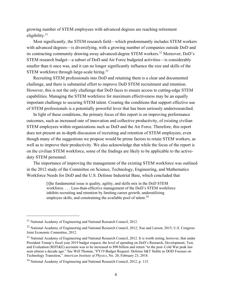growing number of STEM employees with advanced degrees are reaching retirement eligibility.31

Most significantly, the STEM research field—which predominantly includes STEM workers with advanced degrees—is diversifying, with a growing number of companies outside DoD and its contracting community drawing away advanced-degree STEM workers.<sup>32</sup> Moreover, DoD's STEM research budget—a subset of DoD and Air Force budgeted activities—is considerably smaller than it once was, and it can no longer significantly influence the size and skills of the STEM workforce through large-scale hiring.<sup>33</sup>

Recruiting STEM professionals into DoD and retaining them is a clear and documented challenge, and there is substantial effort to improve DoD STEM recruitment and retention. However, this is not the only challenge that DoD faces to ensure access to cutting-edge STEM capabilities. Managing the STEM workforce for maximum effectiveness may be an equally important challenge to securing STEM talent. Creating the conditions that support effective use of STEM professionals is a potentially powerful lever that has been seriously underresearched.

In light of these conditions, the primary focus of this report is on improving performance outcomes, such as increased rate of innovation and collective productivity, of existing civilian STEM employees within organizations such as DoD and the Air Force. Therefore, this report does not present an in-depth discussion of recruiting and retention of STEM employees, even though many of the suggestions we propose would be prime factors to retain STEM workers, as well as to improve their productivity. We also acknowledge that while the focus of the report is on the civilian STEM workforce, some of the findings are likely to be applicable to the activeduty STEM personnel.

The importance of improving the management of the existing STEM workforce was outlined in the 2012 study of the Committee on Science, Technology, Engineering, and Mathematics Workforce Needs for DoD and the U.S. Defense Industrial Base, which concluded that

> [t]he fundamental issue is quality, agility, and skills mix in the DoD STEM workforce. . . . Less-than-effective management of the DoD's STEM workforce inhibits recruiting and retention by limiting career growth, underutilizing employee skills, and constraining the available pool of talent.<sup>34</sup>

<sup>&</sup>lt;sup>31</sup> National Academy of Engineering and National Research Council, 2012.

<sup>&</sup>lt;sup>32</sup> National Academy of Engineering and National Research Council, 2012; Xue and Larson, 2015; U.S. Congress Joint Economic Committee, 2012.

<sup>&</sup>lt;sup>33</sup> National Academy of Engineering and National Research Council, 2012. It is worth noting, however, that under President Trump's fiscal year 2019 budget request, the level of spending on DoD's Research, Development, Test, and Evaluation (RDT&E) accounts was to be increased to \$90 billion and return "to the post–Cold War peak last seen almost a decade ago." See Will Thomas, "FY19 Budget Request: Defense S&T Stable as DOD Focuses on Technology Transition," *American Institute of Physics*, No. 20, February 23, 2018.

<sup>&</sup>lt;sup>34</sup> National Academy of Engineering and National Research Council, 2012, p. 115.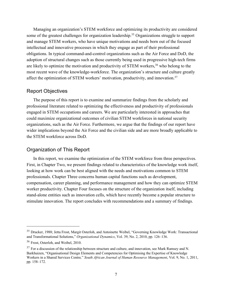Managing an organization's STEM workforce and optimizing its productivity are considered some of the greatest challenges for organization leadership.<sup>35</sup> Organizations struggle to support and manage STEM workers, who have unique motivations and needs born out of the focused intellectual and innovative processes in which they engage as part of their professional obligations. In typical command-and-control organizations such as the Air Force and DoD, the adoption of structural changes such as those currently being used in progressive high-tech firms are likely to optimize the motivation and productivity of STEM workers,<sup>36</sup> who belong to the most recent wave of the knowledge-workforce. The organization's structure and culture greatly affect the optimization of STEM workers' motivation, productivity, and innovation.<sup>37</sup>

#### Report Objectives

The purpose of this report is to examine and summarize findings from the scholarly and professional literature related to optimizing the effectiveness and productivity of professionals engaged in STEM occupations and careers. We are particularly interested in approaches that could maximize organizational outcomes of civilian STEM workforces in national security organizations, such as the Air Force. Furthermore, we argue that the findings of our report have wider implications beyond the Air Force and the civilian side and are more broadly applicable to the STEM workforce across DoD.

#### Organization of This Report

In this report, we examine the optimization of the STEM workforce from three perspectives. First, in Chapter Two, we present findings related to characteristics of the knowledge work itself, looking at how work can be best aligned with the needs and motivations common to STEM professionals. Chapter Three concerns human capital functions such as development, compensation, career planning, and performance management and how they can optimize STEM worker productivity. Chapter Four focuses on the structure of the organization itself, including stand-alone entities such as innovation cells, which have recently become a popular structure to stimulate innovation. The report concludes with recommendations and a summary of findings.

<sup>&</sup>lt;sup>35</sup> Drucker, 1988; Jetta Frost, Margit Osterloh, and Antoinette Weibel, "Governing Knowledge Work: Transactional and Transformational Solutions," *Organizational Dynamics*, Vol. 39, No. 2, 2010, pp. 126–136.

<sup>36</sup> Frost, Osterloh, and Weibel, 2010.

<sup>&</sup>lt;sup>37</sup> For a discussion of the relationship between structure and culture, and innovation, see Mark Ramsey and N. Barkhuizen, "Organisational Design Elements and Competencies for Optimising the Expertise of Knowledge Workers in a Shared Services Centre*,*" *South African Journal of Human Resource Management*, Vol. 9, No. 1, 2011, pp. 158–172.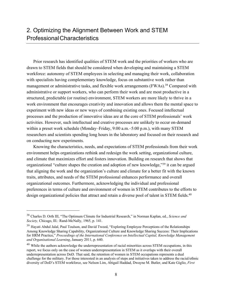## 2. Optimizing the Alignment Between Work and STEM ProfessionalCharacteristics

Prior research has identified qualities of STEM work and the priorities of workers who are drawn to STEM fields that should be considered when developing and maintaining a STEM workforce: autonomy of STEM employees in selecting and managing their work, collaboration with specialists having complementary knowledge, focus on substantive work rather than management or administrative tasks, and flexible work arrangements (FWAs).<sup>38</sup> Compared with administrative or support workers, who can perform their work and are most productive in a structured, predictable (or routine) environment, STEM workers are more likely to thrive in a work environment that encourages creativity and innovation and allows them the mental space to experiment with new ideas or new ways of combining existing ones. Focused intellectual processes and the production of innovative ideas are at the core of STEM professionals' work activities. However, such intellectual and creative processes are unlikely to occur on-demand within a preset work schedule (Monday–Friday, 9:00 a.m.–5:00 p.m.), with many STEM researchers and scientists spending long hours in the laboratory and focused on their research and on conducting new experiments.

Knowing the characteristics, needs, and expectations of STEM professionals from their work environment helps organizations rethink and redesign the work setting, organizational culture, and climate that maximizes effort and fosters innovation. Building on research that shows that organizational "culture shapes the creation and adoption of new knowledge,"<sup>39</sup> it can be argued that aligning the work and the organization's culture and climate for a better fit with the known traits, attributes, and needs of the STEM professional enhances performance and overall organizational outcomes. Furthermore, acknowledging the individual and professional preferences in terms of culture and environment of women in STEM contributes to the efforts to design organizational policies that attract and retain a diverse pool of talent in STEM fields.<sup>40</sup>

<sup>38</sup> Charles D. Orth III, "The Optimum Climate for Industrial Research," in Norman Kaplan, ed., *Science and Society,* Chicago, Ill.: Rand-McNally, 1965, p. 141.

<sup>&</sup>lt;sup>39</sup> Hayati Abdul Jalal, Paul Toulson, and David Tweed, "Exploring Employee Perceptions of the Relationships Among Knowledge Sharing Capability, Organizational Culture and Knowledge Sharing Success: Their Implications for HRM Practice," *Proceedings of the International Conference on Intellectual Capital, Knowledge Management and Organisational Learning*, January 2011, p. 640.

<sup>&</sup>lt;sup>40</sup> While the authors acknowledge the underrepresentation of racial minorities across STEM occupations, in this report, we focus only on the case of women underrepresentation in STEM as it overlaps with their overall underrepresentation across DoD. That said, the retention of women in STEM occupations represents a dual challenge for the military. For those interested in an analysis of steps and initiatives taken to address the racial/ethnic diversity of DoD's STEM workforce, see Nelson Lim, Abigail Haddad, Dwayne M. Butler, and Kate Giglio, *First*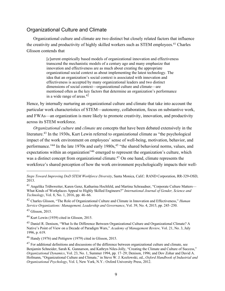#### Organizational Culture and Climate

Organizational culture and climate are two distinct but closely related factors that influence the creativity and productivity of highly skilled workers such as STEM employees.<sup>41</sup> Charles Glisson contends that

> [c]urrent empirically based models of organizational innovation and effectiveness transcend the mechanistic models of a century ago and many emphasize that innovation and effectiveness are as much about creating the appropriate organizational social context as about implementing the latest technology. The idea that an organization's social context is associated with innovation and effectiveness is accepted by many organizational leaders and two distinct dimensions of social context—organizational culture and climate—are mentioned often as the key factors that determine an organization's performance in a wide range of areas.<sup>42</sup>

Hence, by internally nurturing an organizational culture and climate that take into account the particular work characteristics of STEM—autonomy, collaboration, focus on substantive work, and FWAs—an organization is more likely to promote creativity, innovation, and productivity across its STEM workforce.

*Organizational culture* and *climate* are concepts that have been debated extensively in the literature.<sup>43</sup> In the 1930s, Kurt Lewin referred to organizational climate as "the psychological impact of the work environment on employees' sense of well-being, motivation, behavior, and performance."<sup>44</sup> In the late 1970s and early 1980s,<sup>45</sup> "the shared behavioral norms, values, and expectations within an organization<sup>346</sup> emerged to represent the organization's culture, which was a distinct concept from organizational climate.<sup>47</sup> On one hand, climate represents the workforce's shared perception of how the work environment psychologically impacts their well-

*Steps Toward Improving DoD STEM Workforce Diversity*, Santa Monica, Calif.: RAND Corporation, RR-329-OSD, 2013.

<sup>&</sup>lt;sup>41</sup> Angelika Trübswetter, Karen Genz, Katharina Hochfeld, and Martina Schraudner, "Corporate Culture Matters— What Kinds of Workplaces Appeal to Highly Skilled Engineers?" *International Journal of Gender, Science and Technology*, Vol. 8, No. 1, 2016, pp. 46–66.

<sup>42</sup> Charles Glisson, "The Role of Organizational Culture and Climate in Innovation and Effectiveness," *Human Service Organizations: Management, Leadership and Governance*, Vol. 39, No. 4, 2015, pp. 245–250.

<sup>43</sup> Glisson, 2015.

<sup>44</sup> Kurt Lewin (1939) cited in Glisson, 2015.

<sup>&</sup>lt;sup>45</sup> Daniel R. Denison, "What Is the Difference Between Organizational Culture and Organizational Climate? A Native's Point of View on a Decade of Paradigm Wars," *Academy of Management Review,* Vol. 21, No. 3, July 1996, p. 619.

<sup>46</sup> Handy (1976) and Pettigrew (1979) cited in Glisson, 2015.

 $47$  For additional definitions and discussions of the difference between organizational culture and climate, see Benjamin Schneider, Sarah K. Gunnarson, and Kathryn Niles-Jolly, "Creating the Climate and Culture of Success," *Organizational Dynamics*, Vol. 23, No. 1, Summer 1994, pp. 17–29; Denison, 1996; and Dov Zohar and David A. Hofmann, "Organizational Culture and Climate," in Steve W. J. Kozlowski, ed., *Oxford Handbook of Industrial and Organizational Psychology*, Vol. I, New York, N.Y.: Oxford University Press, 2012.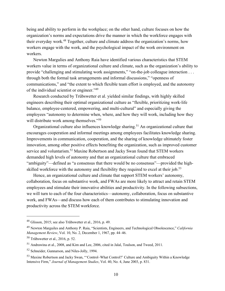being and ability to perform in the workplace; on the other hand, culture focuses on how the organization's norms and expectations drive the manner in which the workforce engages with their everyday work.48 Together, culture and climate address the organization's norms, how workers engage with the work, and the psychological impact of the work environment on workers.

Newton Margulies and Anthony Raia have identified various characteristics that STEM workers value in terms of organizational culture and climate, such as the organization's ability to provide "challenging and stimulating work assignments," "on-the-job colleague interaction . . . through both the formal task arrangements and informal discussions," "openness of communications," and "the extent to which flexible team effort is employed, and the autonomy of the individual scientist or engineer."49

Research conducted by Trübswetter et al. yielded similar findings, with highly skilled engineers describing their optimal organizational culture as "flexible, prioritizing work-life balance, employee-centered, empowering, and multi-cultural" and especially giving the employees "autonomy to determine when, where, and how they will work, including how they will distribute work among themselves."<sup>50</sup>

Organizational culture also influences knowledge sharing.<sup>51</sup> An organizational culture that encourages cooperation and informal meetings among employees facilitates knowledge sharing. Improvements in communication, cooperation, and the sharing of knowledge ultimately foster innovation, among other positive effects benefiting the organization, such as improved customer service and voluntarism.<sup>52</sup> Maxine Robertson and Jacky Swan found that STEM workers demanded high levels of autonomy and that an organizational culture that embraced "ambiguity"—defined as "a consensus that there would be no consensus"—provided the highskilled workforce with the autonomy and flexibility they required to excel at their job.<sup>53</sup>

Hence, an organizational culture and climate that support STEM workers' autonomy, collaboration, focus on substantive work, and FWAs are more likely to attract and retain STEM employees and stimulate their innovative abilities and productivity. In the following subsections, we will turn to each of the four characteristics—autonomy, collaboration, focus on substantive work, and FWAs—and discuss how each of them contributes to stimulating innovation and productivity across the STEM workforce.

<sup>48</sup> Glisson, 2015; see also Trübswetter et al., 2016, p. 49.

<sup>49</sup> Newton Marguiles and Anthony P. Raia, "Scientists, Engineers, and Technological Obsolescence," *California Management Review*, Vol. 10, No. 2, December 1, 1967, pp. 44–46.

<sup>50</sup> Trübswetter et al., 2016, p. 52.

<sup>51</sup> Andrawina et al., 2008, and Kim and Lee, 2006, cited in Jalal, Toulson, and Tweed, 2011.

<sup>52</sup> Schneider, Gunnarson, and Niles-Jolly, 1994.

<sup>53</sup> Maxine Robertson and Jacky Swan, "'Control–What Control?' Culture and Ambiguity Within a Knowledge Intensive Firm," *Journal of Management Studies*, Vol. 40, No. 4, June 2003, p. 831.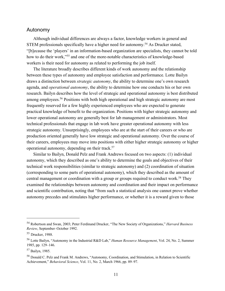#### Autonomy

Although individual differences are always a factor, knowledge workers in general and STEM professionals specifically have a higher need for autonomy.<sup>54</sup> As Drucker stated, "[b]ecause the 'players' in an information-based organization are specialists, they cannot be told how to do their work,"55 and one of the more-notable characteristics of knowledge-based workers is their need for autonomy as related to performing the job itself.

The literature broadly describes different kinds of work autonomy and the relationship between these types of autonomy and employee satisfaction and performance. Lotte Bailyn draws a distinction between *strategic autonomy*, the ability to determine one's own research agenda, and *operational autonomy*, the ability to determine how one conducts his or her own research. Bailyn describes how the level of strategic and operational autonomy is best distributed among employees.<sup>56</sup> Positions with both high operational and high strategic autonomy are most frequently reserved for a few highly experienced employees who are expected to generate practical knowledge of benefit to the organization. Positions with higher strategic autonomy and lower operational autonomy are generally best for lab management or administrators. Most technical professionals that engage in lab work have greater operational autonomy with less strategic autonomy. Unsurprisingly, employees who are at the start of their careers or who are production oriented generally have low strategic and operational autonomy. Over the course of their careers, employees may move into positions with either higher strategic autonomy or higher operational autonomy, depending on their track.57

Similar to Bailyn, Donald Pelz and Frank Andrews focused on two aspects: (1) individual autonomy, which they described as one's ability to determine the goals and objectives of their technical work responsibilities (similar to strategic autonomy) and (2) coordination of situation (corresponding to some parts of operational autonomy), which they described as the amount of central management or coordination with a group or groups required to conduct work.<sup>58</sup> They examined the relationships between autonomy and coordination and their impact on performance and scientific contribution, noting that "from such a statistical analysis one cannot prove whether autonomy precedes and stimulates higher performance, or whether it is a reward given to those

<sup>54</sup> Robertson and Swan, 2003; Peter Ferdinand Drucker, "The New Society of Organizations," *Harvard Business Review*, September–October 1992.

<sup>55</sup> Drucker, 1988.

<sup>56</sup> Lotte Bailyn, "Autonomy in the Industrial R&D Lab," *Human Resource Management*, Vol. 24, No. 2, Summer 1985, pp. 129–146.

<sup>57</sup> Bailyn, 1985.

<sup>58</sup> Donald C. Pelz and Frank M. Andrews, "Autonomy, Coordination, and Stimulation, in Relation to Scientific Achievement," *Behavioral Science*, Vol. 11, No. 2, March 1966, pp. 89–97.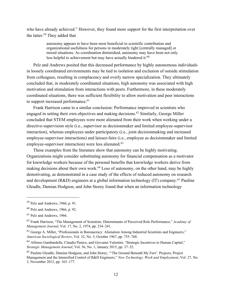who have already achieved." However, they found more support for the first interpretation over the latter.59 They added that

> autonomy appears to have been most beneficial to scientific contribution and organizational usefulness for persons in moderately tight [centrally managed] or mixed situations. As coordination diminished, autonomy may have been not only less helpful to achievement but may have actually hindered it.<sup>60</sup>

Pelz and Andrews posited that this decreased performance by highly autonomous individuals in loosely coordinated environments may be tied to isolation and exclusion of outside stimulation from colleagues, resulting in complacency and overly narrow specialization. They ultimately concluded that, in moderately coordinated situations, high autonomy was associated with high motivation and stimulation from interactions with peers. Furthermore, in these moderately coordinated situations, there was sufficient flexibility to allow motivation and peer interactions to support increased performance.<sup>61</sup>

Frank Harrison came to a similar conclusion: Performance improved in scientists who engaged in setting their own objectives and making decisions.62 Similarly, George Miller concluded that STEM employees were more alienated from their work when working under a directive-supervision style (i.e., supervisor as decisionmaker and limited employee-supervisor interaction), whereas employees under participatory (i.e., joint decisionmaking and increased employee-supervisor interactions) and laissez-faire (i.e., employee as decisionmaker and limited employee-supervisor interaction) were less alienated.<sup>63</sup>

These examples from the literature show that autonomy can be highly motivating. Organizations might consider substituting autonomy for financial compensation as a motivator for knowledge workers because of the personal benefits that knowledge workers derive from making decisions about their own work.<sup>64</sup> Loss of autonomy, on the other hand, may be highly demotivating, as demonstrated in a case study of the effects of reduced autonomy on research and development (R&D) engineers at a global information technology (IT) company.<sup>65</sup> Pauline Gleadle, Damian Hodgson, and John Storey found that when an information technology

<sup>59</sup> Pelz and Andrews, 1966, p. 91.

<sup>60</sup> Pelz and Andrews, 1966, p. 92.

<sup>61</sup> Pelz and Andrews, 1966.

<sup>62</sup> Frank Harrison, "The Management of Scientists: Determinants of Perceived Role Performance," *Academy of Management Journal*, Vol. 17, No. 2, 1974, pp. 234–241.

<sup>63</sup> George A. Miller, "Professionals in Bureaucracy: Alienation Among Industrial Scientists and Engineers," *American Sociological Review*, Vol. 32, No. 5, October 1967, pp. 755–768.

<sup>64</sup> Alfonso Gambardella, Claudio Panico, and Giovanni Valentini, "Strategic Incentives to Human Capital," *Strategic Management Journal*, Vol. 36, No. 1, January 2015, pp. 37–52.

<sup>65</sup> Pauline Gleadle, Damian Hodgson, and John Storey, "'The Ground Beneath My Feet': Projects, Project Management and the Intensified Control of R&D Engineers," *New Technology, Work and Employment*, Vol. 27, No. 3, November 2012, pp. 163–177.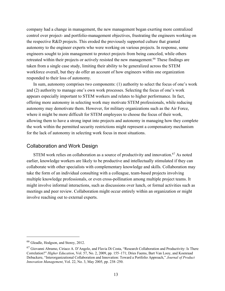company had a change in management, the new management began exerting more centralized control over project- and portfolio-management objectives, frustrating the engineers working on the respective R&D projects. This eroded the previously supported culture that granted autonomy to the engineer experts who were working on various projects. In response, some engineers sought to join management to protect projects from being canceled, while others retreated within their projects or actively resisted the new management.<sup>66</sup> These findings are taken from a single case study, limiting their ability to be generalized across the STEM workforce overall, but they do offer an account of how engineers within one organization responded to their loss of autonomy.

In sum, autonomy comprises two components: (1) authority to select the focus of one's work and (2) authority to manage one's own work processes. Selecting the focus of one's work appears especially important to STEM workers and relates to higher performance. In fact, offering more autonomy in selecting work may motivate STEM professionals, while reducing autonomy may demotivate them. However, for military organizations such as the Air Force, where it might be more difficult for STEM employees to choose the focus of their work, allowing them to have a strong input into projects and autonomy in managing how they complete the work within the permitted security restrictions might represent a compensatory mechanism for the lack of autonomy in selecting work focus in most situations.

#### Collaboration and Work Design

STEM work relies on collaboration as a source of productivity and innovation.<sup>67</sup> As noted earlier, knowledge workers are likely to be productive and intellectually stimulated if they can collaborate with other specialists with complementary knowledge and skills. Collaboration may take the form of an individual consulting with a colleague, team-based projects involving multiple knowledge professionals, or even cross-pollination among multiple project teams. It might involve informal interactions, such as discussions over lunch, or formal activities such as meetings and peer review. Collaboration might occur entirely within an organization or might involve reaching out to external experts.

<sup>66</sup> Gleadle, Hodgson, and Storey, 2012.

<sup>&</sup>lt;sup>67</sup> Giovanni Abramo, Ciriaco A. D'Angelo, and Flavia Di Costa, "Research Collaboration and Productivity: Is There Correlation?" *Higher Education*, Vol. 57, No. 2, 2009, pp. 155–171; Dries Faems, Bart Van Looy, and Koenraad Debackere, "Interorganizational Collaboration and Innovation: Toward a Portfolio Approach," *Journal of Product Innovation Management*, Vol. 22, No. 3, May 2005, pp. 238–250.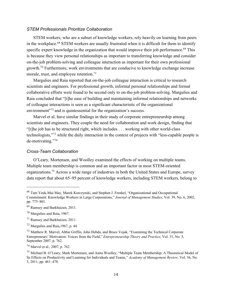#### *STEM Professionals Prioritize Collaboration*

STEM workers, who are a subset of knowledge workers, rely heavily on learning from peers in the workplace.68 STEM workers are usually frustrated when it is difficult for them to identify specific expert knowledge in the organization that would improve their job performance.<sup>69</sup> This is because they view personal relationships as important to transferring knowledge and consider on-the-job problem-solving and colleague interaction as important for their own professional growth.<sup>70</sup> Furthermore, work environments that are conducive to knowledge exchange increase morale, trust, and employee retention.<sup>71</sup>

Margulies and Raia reported that on-the-job colleague interaction is critical to research scientists and engineers. For professional growth, informal personal relationships and formal collaborative efforts were found to be second only to on-the-job problem-solving. Margulies and Raia concluded that "[t]he ease of building and maintaining informal relationships and networks of colleague interactions is seen as a significant characteristic of the organizational environment"<sup>72</sup> and is quintessential for the organization's success.

Marvel et al. have similar findings in their study of corporate entrepreneurship among scientists and engineers. They couple the need for collaboration and work design, finding that "[t]he job has to be structured right, which includes . . . working with other world-class technologists,"73 while the daily interaction in the context of projects with "less-capable people is de-motivating."74

#### *Cross-Team Collaboration*

O'Leary, Mortensen, and Woolley examined the effects of working on multiple teams. Multiple team membership is common and an important factor in most STEM-oriented organizations.75 Across a wide range of industries in both the United States and Europe, survey data report that about 65–95 percent of knowledge workers, including STEM workers, belong to

<sup>68</sup> Tam Yeuk‐Mui May, Marek Korczynski, and Stephen J. Frenkel, "Organizational and Occupational Commitment: Knowledge Workers in Large Corporations," *Journal of Management Studies*, Vol. 39, No. 6, 2002, pp. 775–801.

<sup>69</sup> Ramsey and Barkhuizen, 2011.

<sup>70</sup> Margulies and Raia, 1967.

<sup>71</sup> Ramsey and Barkhuizen, 2011.

<sup>72</sup> Margulies and Raia,1967, p. 44.

<sup>73</sup> Matthew R. Marvel, Abbie Griffin, John Hebda, and Bruce Vojak, "Examining the Technical Corporate Entrepreneurs' Motivation: Voices from the Field," *Entrepreneurship Theory and Practice*, Vol. 31, No. 5, September 2007, p. 762.

<sup>74</sup> Marvel et al., 2007, p. 762.

<sup>75</sup> Michael B. O'Leary, Mark Mortensen, and Anita Woolley, "Multiple Team Membership: A Theoretical Model of Its Effects on Productivity and Learning for Individuals and Teams," *Academy of Management Review*, Vol. 36, No. 3, 2011, pp. 461–478.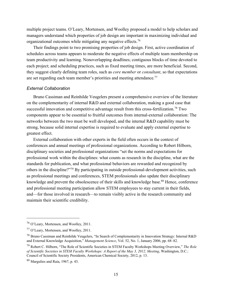multiple project teams. O'Leary, Mortensen, and Woolley proposed a model to help scholars and managers understand which properties of job design are important in maximizing individual and organizational outcomes while mitigating any negative effects.76

Their findings point to two promising properties of job design. First, active coordination of schedules across teams appears to moderate the negative effects of multiple team membership on team productivity and learning. Nonoverlapping deadlines; contiguous blocks of time devoted to each project; and scheduling practices, such as fixed meeting times, are more beneficial. Second, they suggest clearly defining team roles, such as *core member* or *consultant*, so that expectations are set regarding each team member's priorities and meeting attendance.<sup>77</sup>

#### *External Collaboration*

Bruno Cassiman and Reinhilde Veugelers present a comprehensive overview of the literature on the complementarity of internal R&D and external collaboration, making a good case that successful innovation and competitive advantage result from this cross-fertilization.78 Two components appear to be essential to fruitful outcomes from internal-external collaboration: The networks between the two must be well developed, and the internal R&D capability must be strong, because solid internal expertise is required to evaluate and apply external expertise to greatest effect.

External collaboration with other experts in the field often occurs in the context of conferences and annual meetings of professional organizations. According to Robert Hilborn, disciplinary societies and professional organizations "set the norms and expectations for professional work within the disciplines: what counts as research in the discipline, what are the standards for publication, and what professional behaviors are rewarded and recognized by others in the discipline?"79 By participating in outside professional-development activities, such as professional meetings and conferences, STEM professionals also update their disciplinary knowledge and prevent the obsolescence of their skills and knowledge base.<sup>80</sup> Hence, conference and professional meeting participation allow STEM employees to stay current in their fields, and—for those involved in research—to remain visibly active in the research community and maintain their scientific credibility.

<sup>76</sup> O'Leary, Mortensen, and Woolley, 2011.

<sup>77</sup> O'Leary, Mortensen, and Woolley, 2011.

<sup>78</sup> Bruno Cassiman and Reinhilde Veugelers, "In Search of Complementarity in Innovation Strategy: Internal R&D and External Knowledge Acquisition," *Management Science*, Vol. 52, No. 1, January 2006, pp. 68–82.

<sup>79</sup> Robert C. Hilborn, "The Role of Scientific Societies in STEM Faculty Workshops Meeting Overview," *The Role of Scientific Societies in STEM Faculty Workshops: A Report of the May 3, 2012, Meeting*, Washington, D.C.: Council of Scientific Society Presidents, American Chemical Society, 2012, p. 13.

 $80$  Margulies and Raia, 1967, p. 43.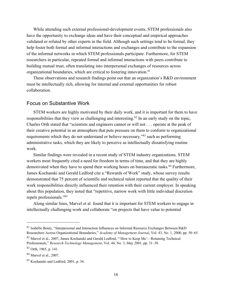While attending such external professional-development events, STEM professionals also have the opportunity to exchange ideas and have their conceptual and empirical approaches validated or refuted by other experts in the field. Although such settings tend to be formal, they help foster both formal and informal interactions and exchanges and contribute to the expansion of the informal networks in which STEM professionals participate. Furthermore, for STEM researchers in particular, repeated formal and informal interactions with peers contribute to building mutual trust, often translating into interpersonal exchanges of resources across organizational boundaries, which are critical to fostering innovation.<sup>81</sup>

These observations and research findings point out that an organization's R&D environment must be intellectually rich, allowing for internal and external opportunities for robust collaboration.

#### Focus on Substantive Work

STEM workers are highly motivated by their daily work, and it is important for them to have responsibilities that they view as challenging and interesting.<sup>82</sup> In an early study on the topic, Charles Orth stated that "scientists and engineers cannot or will not . . . operate at the peak of their creative potential in an atmosphere that puts pressure on them to conform to organizational requirements which they do not understand or believe necessary,"83 such as performing administrative tasks, which they are likely to perceive as intellectually dissatisfying routine work.

Similar findings were revealed in a recent study of STEM industry organizations. STEM workers most frequently cited a need for freedom in terms of time, and that they are highly demotivated when they have to spend their working hours on bureaucratic tasks.<sup>84</sup> Furthermore, James Kochanski and Gerald Ledford cite a "Rewards of Work" study, whose survey results demonstrated that 75 percent of scientific and technical talent reported that the quality of their work responsibilities directly influenced their retention with their current employer. In speaking about this population, they noted that "repetitive, narrow work with little individual discretion repels professionals."85

Along similar lines, Marvel et al. found that it is important for STEM workers to engage in intellectually challenging work and collaborate "on projects that have value to potential

 $81$  Isabelle Bouty, "Interpersonal and Interaction Influences on Informal Resource Exchanges Between R&D Researchers Across Organizational Boundaries," *Academy of Management Journal*, Vol. 43, No. 1, 2000, pp. 50–65.

<sup>82</sup> Marvel et al., 2007; James Kochanski and Gerald Ledford, "'How to Keep Me'—Retaining Technical Professionals," *Research-Technology Management*, Vol. 44, No. 3, May 2001, pp. 31–38.

 $83$  Orth, 1965, p. 141.

<sup>84</sup> Marvel et al., 2007.

<sup>85</sup> Kochanski and Ledford, 2001, p. 34.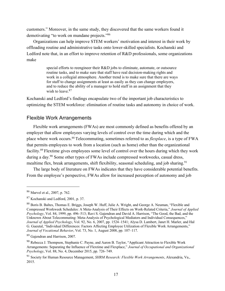customers." Moreover, in the same study, they discovered that the same workers found it demotivating "to work on mundane projects."86

Organizations can help improve STEM workers' motivation and interest in their work by offloading routine and administrative tasks onto lower-skilled specialists. Kochanski and Ledford note that, in an effort to improve retention of R&D professionals, some organizations make

> special efforts to reengineer their R&D jobs to eliminate, automate, or outsource routine tasks, and to make sure that staff have real decision-making rights and work in a collegial atmosphere. Another trend is to make sure that there are ways for staff to change assignments at least as easily as they can change employers, and to reduce the ability of a manager to hold staff in an assignment that they wish to leave.<sup>87</sup>

Kochanski and Ledford's findings encapsulate two of the important job characteristics to optimizing the STEM workforce: elimination of routine tasks and autonomy in choice of work.

#### Flexible Work Arrangements

Flexible work arrangements (FWAs) are most commonly defined as benefits offered by an employer that allow employees varying levels of control over the time during which and the place where work occurs.88 Telecommuting, sometimes referred to as *flexplace*, is a type of FWA that permits employees to work from a location (such as home) other than the organizational facility.89 Flextime gives employees some level of control over the hours during which they work during a day.<sup>90</sup> Some other types of FWAs include compressed workweeks, casual dress, mealtime flex, break arrangements, shift flexibility, seasonal scheduling, and job sharing.<sup>91</sup>

The large body of literature on FWAs indicates that they have considerable potential benefits. From the employee's perspective, FWAs allow for increased perception of autonomy and job

<sup>86</sup> Marvel et al., 2007, p. 762.

<sup>87</sup> Kochanski and Ledford, 2001, p. 37.

<sup>88</sup> Boris B. Baltes, Thomas E. Briggs, Joseph W. Huff, Julie A. Wright, and George A. Neuman, "Flexible and Compressed Workweek Schedules: A Meta-Analysis of Their Effects on Work-Related Criteria," *Journal of Applied Psychology*, Vol. 84, 1999, pp. 496–513; Ravi S. Gajendran and David A. Harrison, "The Good, the Bad, and the Unknown About Telecommuting: Meta-Analysis of Psychological Mediators and Individual Consequences," *Journal of Applied Psychology*, Vol. 92, No. 6, 2007, pp. 1524–1541; Alysa D. Lambert, Janet H. Marler, and Hal G. Gueutal, "Individual Differences: Factors Affecting Employee Utilization of Flexible Work Arrangements," *Journal of Vocational Behavior*, Vol. 73, No. 1, August 2008, pp. 107–117.

<sup>89</sup> Gajendran and Harrison, 2007.

<sup>&</sup>lt;sup>90</sup> Rebecca J. Thompson, Stephanie C. Payne, and Aaron B. Taylor, "Applicant Attraction to Flexible Work Arrangements: Separating the Influence of Flextime and Flexplace," *Journal of Occupational and Organizational Psychology*, Vol. 88, No. 4, December 2015, pp. 726–749.

<sup>91</sup> Society for Human Resource Management, *SHRM Research: Flexible Work Arrangements*, Alexandria, Va., 2015.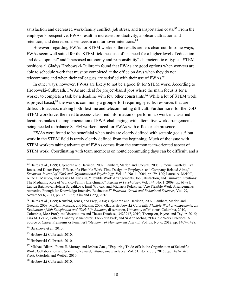satisfaction and decreased work-family conflict, job stress, and transportation costs.<sup>92</sup> From the employer's perspective, FWAs result in increased productivity, applicant attraction and retention, and decreased absenteeism and turnover intentions.<sup>93</sup>

However, regarding FWAs for STEM workers, the results are less clear-cut. In some ways, FWAs seem well suited for the STEM field because of its "need for a higher level of education and development" and "increased autonomy and responsibility" characteristic of typical STEM positions.94 Gladys Hrobowski-Culbreath found that FWAs are good options when workers are able to schedule work that must be completed at the office on days when they do not telecommute and when their colleagues are satisfied with their use of FWAs.<sup>95</sup>

In other ways, however, FWAs are likely to not be a good fit for STEM work. According to Hrobowski-Culbreath, FWAs are ideal for project-based jobs where the main focus is for a worker to complete a task by a deadline with few other constraints.<sup>96</sup> While a lot of STEM work is project based,  $97$  the work is commonly a group effort requiring specific resources that are difficult to access, making both flextime and telecommuting difficult. Furthermore, for the DoD STEM workforce, the need to access classified information or perform lab work in classified locations makes the implementation of FWA challenging, with alternative work arrangements being needed to balance STEM workers' need for FWAs with office or lab presence.

FWAs were found to be beneficial when tasks are clearly defined with settable goals,<sup>98</sup> but work in the STEM field is rarely clearly defined from the beginning. Much of the issue with STEM workers taking advantage of FWAs comes from the common team-oriented aspect of STEM work. Coordinating with team members on nontelecommuting days can be difficult, and a

<sup>&</sup>lt;sup>92</sup> Baltes et al., 1999; Gajendran and Harrison, 2007; Lambert, Marler, and Gueutal, 2008; Simone Kauffeld, Eva Jonas, and Dieter Frey, "Effects of a Flexible Work-Time Design on Employee- and Company-Related Aims," *European Journal of Work and Organizational Psychology*, Vol. 13, No. 1, 2004, pp. 79–100; Laurel A. McNall, Aline D. Masuda, and Jessica M. Nicklin, "Flexible Work Arrangements, Job Satisfaction, and Turnover Intentions: The Mediating Role of Work-to-Family Enrichment," *Journal of Psychology*, Vol. 144, No. 1, 2009, pp. 61–81; Lubica Bajzikova, Helena Sajgalikova, Emil Wojcak, and Michaela Polakova, "Are Flexible Work Arrangements Attractive Enough for Knowledge-Intensive Businesses?" *Procedia–Social and Behavioral Sciences*, Vol. 99, November 6, 2013, pp. 771–783; Kim and Gong, 2016.

<sup>93</sup> Baltes et al., 1999; Kauffeld, Jonas, and Frey, 2004; Gajendran and Harrison, 2007; Lambert, Marler, and Gueutal, 2008; McNall, Masuda, and Nicklin, 2009; Gladys Hrobowski-Culbreath, *Flexible Work Arrangements: An Evaluation of Job Satisfaction and Work-Life Balance*, dissertation, University of Missouri-Columbia, 2010, Columbia, Mo.: ProQuest Dissertations and Theses Database, 3423947, 2010; Thompson, Payne, and Taylor, 2015; Lisa M. Leslie, Colleen Flaherty Manchester, Tae-Youn Park, and Si Ahn Mehng, "Flexible Work Practices: A Source of Career Premiums or Penalties? "*Academy of Management Journal*, Vol. 55, No. 6, 2012, pp. 1407–1428.

 $94$  Bajzikova et al., 2013.

<sup>95</sup> Hrobowski-Culbreath, 2010.

<sup>96</sup> Hrobowski-Culbreath, 2010.

<sup>97</sup> Michael Bikard, Fiona E. Murray, and Joshua Gans, "Exploring Trade-offs in the Organization of Scientific Work: Collaboration and Scientific Reward," *Management Science*, Vol. 61, No. 7, July 2015, pp. 1473–1495; Frost, Osterloh, and Weibel, 2010.

<sup>98</sup> Hrobowski-Culbreath, 2010.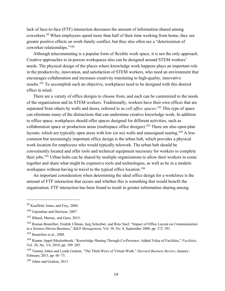lack of face-to-face (FTF) interaction decreases the amount of information shared among coworkers.99 When employees spend more than half of their time working from home, they see greater positive effects on work-family conflict, but they also often see a "deterioration of coworker relationships."100

Although telecommuting is a popular form of flexible work space, it is not the only approach. Creative approaches to in-person workspaces also can be designed around STEM workers' needs. The physical design of the places where knowledge work happens plays an important role in the productivity, innovation, and satisfaction of STEM workers, who need an environment that encourages collaboration and increases creativity translating to high-quality, innovative results.101 To accomplish such an objective, workplaces need to be designed with this desired effect in mind.

There are a variety of office designs to choose from, and each can be customized to the needs of the organization and its STEM workers. Traditionally, workers have their own offices that are separated from others by walls and doors, referred to as *cell office spaces*. 102 This type of space can eliminate many of the distractions that can undermine creative knowledge work. In addition to office space, workplaces should offer spaces designed for different activities, such as collaboration space or production areas (multispace office designs).<sup>103</sup> There are also open-plan layouts, which are typically open areas with low (or no) walls and unassigned seating.<sup>104</sup> A less common but increasingly important office design is the urban hub, which provides a physical work location for employees who would typically telework. The urban hub should be conveniently located and offer tools and technical equipment necessary for workers to complete their jobs.105 Urban hubs can be shared by multiple organizations to allow their workers to come together and share what might be expensive tools and technologies, as well as be in a modern workspace without having to travel to the typical office location.<sup>106</sup>

An important consideration when determining the ideal office design for a workforce is the amount of FTF interaction that occurs and whether this is something that would benefit the organization. FTF interaction has been found to result in greater information sharing among

<sup>99</sup> Kauffeld, Jonas, and Frey, 2004.

<sup>100</sup> Gajendran and Harrison, 2007.

<sup>101</sup> Bikard, Murray, and Gans, 2015.

<sup>&</sup>lt;sup>102</sup> Roman Boutellier, Fredrik Ullman, Jurg Schreiber, and Reto Naef, "Impact of Office Layout on Communication in a Science-Driven Business," *R&D Management*, Vol. 38, No. 4, September 2008, pp. 372–391.

<sup>103</sup> Boutellier et al., 2008.

<sup>104</sup> Rianne Appel-Meulenbroek, "Knowledge Sharing Through Co-Presence: Added Value of Facilities," *Facilities*, Vol. 28, No. 3/4, 2010, pp. 189–205.

<sup>105</sup> Tammy Johns and Lynda Gratton, "The Third Wave of Virtual Work," *Harvard Business Review*, January– February 2013, pp. 66–73.

<sup>106</sup> Johns and Gratton, 2013.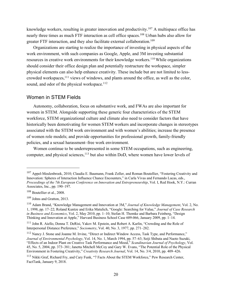knowledge workers, resulting in greater innovation and productivity.<sup>107</sup> A multispace office has nearly three times as much FTF interaction as cell office spaces.<sup>108</sup> Urban hubs also allow for greater FTF interaction, and they also facilitate external collaboration.<sup>109</sup>

Organizations are starting to realize the importance of investing in physical aspects of the work environment, with such companies as Google, Apple, and 3M investing substantial resources in creative work environments for their knowledge workers.110 While organizations should consider their office design plan and potentially restructure the workspace, simpler physical elements can also help enhance creativity. These include but are not limited to lesscrowded workspaces, $^{111}$  views of windows, and plants around the office, as well as the color, sound, and odor of the physical workspace.<sup>112</sup>

#### Women in STEM Fields

Autonomy, collaboration, focus on substantive work, and FWAs are also important for women in STEM. Alongside supporting these generic four characteristics of the STEM workforce, STEM organizational culture and climate also need to consider factors that have historically been demotivating for women STEM workers and incorporate changes in stereotypes associated with the STEM work environment and with women's abilities; increase the presence of women role models; and provide opportunities for professional growth, family-friendly policies, and a sexual harassment–free work environment.

Women continue to be underrepresented in some STEM occupations, such as engineering, computer, and physical sciences,<sup>113</sup> but also within DoD, where women have lower levels of

<sup>107</sup> Appel-Meulenbroek, 2010; Claudia E. Baumann, Frank Zoller, and Roman Boutellier, "Fostering Creativity and Innovation: Spheres of Interaction Influence Chance Encounters," in Carla Vivas and Fernando Lucas, eds., *Proceedings of the 7th European Conference on Innovation and Entrepreneurship*, Vol. I, Red Hook, N.Y.: Curran Associates, Inc., pp. 190–197.

<sup>108</sup> Boutellier et al., 2008.

<sup>109</sup> Johns and Gratton, 2013.

<sup>110</sup> Adam Brand, "Knowledge Management and Innovation at 3M," *Journal of Knowledge Management*, Vol. 2, No. 1, 1998, pp. 17–22; Roland Kuntze and Erika Matulich, "Google: Searching for Value," *Journal of Case Research in Business and Economics*, Vol. 2, May 2010, pp. 1–10; Stefan H. Thomke and Barbara Feinberg, "Design Thinking and Innovation at Apple," Harvard Business School Case 609-066, January 2009, pp. 1–14.

<sup>111</sup> John R. Aiello, Donna T. DeRisi, Yakov M. Epstein, and Robert A. Karlin, "Crowding and the Role of Interpersonal Distance Preference," *Sociometry*, Vol. 40, No. 3, 1977, pp. 271–282.

<sup>&</sup>lt;sup>112</sup> Nancy J. Stone and Joanne M. Irvine, "Direct or Indirect Window Access, Task Type, and Performance," *Journal of Environmental Psychology*, Vol. 14, No. 1, March 1994, pp. 57–63; Seiji Shibata and Naoto Suzuki, "Effects of an Indoor Plant on Creative Task Performance and Mood," *Scandinavian Journal of Psychology*, Vol. 45, No. 5, 2004, pp. 373–381; Janetta Mitchell McCoy and Gary W. Evans, "The Potential Role of the Physical Environment in Fostering Creativity," *Creativity Research Journal*, Vol. 14, No. 3/4, 2010, pp. 409–426.

<sup>113</sup> Nikki Graf, Richard Fry, and Cary Funk, "7 Facts About the STEM Workforce," Pew Research Center, FactTank, January 9, 2018.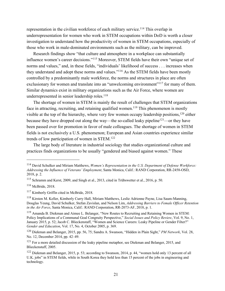representation in the civilian workforce of each military service.<sup>114</sup> This overlap in underrepresentation for women who work in STEM occupations within DoD is worth a closer investigation to understand how the productivity of women in STEM occupations, especially of those who work in male-dominated environments such as the military, can be improved.

Research findings show "that culture and atmosphere in a workplace can substantially influence women's career decisions."115 Moreover, STEM fields have their own "unique set of norms and values," and, in these fields, "individuals' likelihood of success . . . increases when they understand and adopt these norms and values."116 As the STEM fields have been mostly controlled by a predominantly male workforce, the norms and structures in place are often exclusionary for women and translate into an "unwelcoming environment"<sup>117</sup> for many of them. Similar dynamics exist in military organizations such as the Air Force, where women are underrepresented in senior leadership roles.<sup>118</sup>

The shortage of women in STEM is mainly the result of challenges that STEM organizations face in attracting, recruiting, and retaining qualified women.<sup>119</sup> This phenomenon is mostly visible at the top of the hierarchy, where very few women occupy leadership positions,  $120$  either because they have dropped out along the way—the so-called leaky pipeline<sup>121</sup>—or they have been passed over for promotion in favor of male colleagues. The shortage of women in STEM fields is not exclusively a U.S. phenomenon; European and Asian countries experience similar trends of low participation of women in STEM.122

The large body of literature in industrial sociology that studies organizational culture and practices finds organizations to be usually "gendered and biased against women." These

<sup>114</sup> David Schulker and Miriam Matthews, *Women's Representation in the U.S. Department of Defense Workforce: Addressing the Influence of Veterans' Employment*, Santa Monica, Calif.: RAND Corporation, RR-2458-OSD, 2018, p. 2.

<sup>115</sup> Schramm and Kerst, 2009, and Singh et al., 2013, cited in Trübswetter et al., 2016, p. 50.

<sup>116</sup> McBride, 2018.

<sup>&</sup>lt;sup>117</sup> Kimberly Griffin cited in McBride, 2018.

<sup>118</sup> Kirsten M. Keller, Kimberly Curry Hall, Miriam Matthews, Leslie Adrienne Payne, Lisa Saum-Manning, Douglas Yeung, David Schulker, Stefan Zavislan, and Nelson Lim, *Addressing Barriers to Female Officer Retention in the Air Force*, Santa Monica, Calif.: RAND Corporation, RR-2073-AF, 2018, p. 1.

<sup>119</sup> Amanda B. Diekman and Aimee L. Belanger, "New Routes to Recruiting and Retaining Women in STEM: Policy Implications of a Communal Goal Congruity Perspective," *Social Issues and Policy Review*, Vol. 9, No. 1, January 2015, p. 52; Jacob C. Blieckenstaff, "Women and Science Careers: Leaky Pipeline or Gender Filter?" *Gender and Education*, Vol. 17, No. 4, October 2005, p. 369.

<sup>120</sup> Diekman and Belanger, 2015, pp. 56, 75; Sandra A. Swanson, "Hidden in Plain Sight," *PM Network*, Vol. 28, No. 12, December 2014, pp. 42–49.

<sup>&</sup>lt;sup>121</sup> For a more detailed discussion of the leaky pipeline metaphor, see Diekman and Belanger, 2015, and Blieckenstaff, 2005.

<sup>&</sup>lt;sup>122</sup> Diekman and Belanger, 2015, p. 53; according to Swanson, 2014, p. 44, "women hold only 13 percent of all U.K. jobs" in STEM fields, while in South Korea they hold less than 15 percent of the jobs in engineering and technology.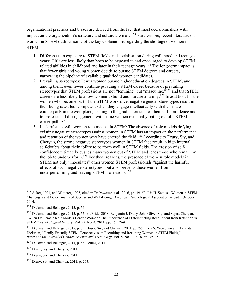organizational practices and biases are derived from the fact that most decisionmakers with impact on the organization's structure and culture are male.<sup>123</sup> Furthermore, recent literature on women in STEM outlines some of the key explanations regarding the shortage of women in STEM:

- 1. Differences in exposure to STEM fields and socialization during childhood and teenage years: Girls are less likely than boys to be exposed to and encouraged to develop STEMrelated abilities in childhood and later in their teenage years.<sup>124</sup> The long-term impact is that fewer girls and young women decide to pursue STEM degrees and careers, narrowing the pipeline of available qualified women candidates.
- 2. Prevailing stereotypes: Fewer women pursue higher education degrees in STEM, and, among them, even fewer continue pursuing a STEM career because of prevailing stereotypes that STEM professions are not "feminine" but "masculine,"<sup>125</sup> and that STEM careers are less likely to allow women to build and nurture a family.<sup>126</sup> In addition, for the women who become part of the STEM workforce, negative gender stereotypes result in their being rated less competent when they engage intellectually with their male counterparts in the workplace, leading to the gradual erosion of their self-confidence and to professional disengagement, with some women eventually opting out of a STEM career path.<sup>127</sup>
- 3. Lack of successful women role models in STEM: The absence of role models defying existing negative stereotypes against women in STEM has an impact on the performance and retention of the women who have entered the field.<sup>128</sup> According to Drury, Siy, and Cheryan, the strong negative stereotypes women in STEM face result in high internal self-doubts about their ability to perform well in STEM fields. The erosion of selfconfidence ultimately pushes many women out of STEM and leads those who remain on the job to underperform.129 For these reasons, the presence of women role models in STEM not only "inoculates" other women STEM professionals "against the harmful effects of such negative stereotypes" but also prevents these women from underperforming and leaving STEM professions.130

<sup>123</sup> Acker, 1991, and Wetterer, 1995, cited in Trübswetter et al., 2016, pp. 49–50; Isis H. Settles, "Women in STEM: Challenges and Determinants of Success and Well-Being," American Psychological Association website, October 2014.

<sup>124</sup> Diekman and Belanger, 2015, p. 54.

<sup>125</sup> Diekman and Belanger, 2015, p. 55; McBride, 2018; Benjamin J. Drury, John Oliver Siy, and Sapna Cheryan, "When Do Female Role Models Benefit Women? The Importance of Differentiating Recruitment from Retention in STEM," *Psychological Inquiry*, Vol. 22, No. 4, 2011, pp. 265–269.

<sup>126</sup> Diekman and Belanger, 2015, p. 65; Drury, Siy, and Cheryan, 2011, p. 266; Erica S. Weisgram and Amanda Diekman, "Family-Friendly STEM: Perspectives on Recruiting and Retaining Women in STEM Fields," *International Journal of Gender, Science and Technology*, Vol. 8, No. 1, 2016, pp. 39–45.

<sup>127</sup> Diekman and Belanger, 2015, p. 68; Settles, 2014.

<sup>128</sup> Drury, Siy, and Cheryan, 2011.

<sup>129</sup> Drury, Siy, and Cheryan, 2011.

 $130$  Drury, Siy, and Cheryan, 2011, p. 265.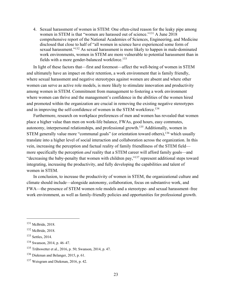4. Sexual harassment of women in STEM: One often-cited reason for the leaky pipe among women in STEM is that "women are harassed out of science."131 A June 2018 comprehensive report of the National Academies of Sciences, Engineering, and Medicine disclosed that close to half of "all women in science have experienced some form of sexual harassment."<sup>132</sup> As sexual harassment is more likely to happen in male-dominated work environments, women in STEM are more vulnerable to potential harassment than in fields with a more gender-balanced workforce.<sup>133</sup>

In light of these factors that—first and foremost—affect the well-being of women in STEM and ultimately have an impact on their retention, a work environment that is family friendly, where sexual harassment and negative stereotypes against women are absent and where other women can serve as active role models, is more likely to stimulate innovation and productivity among women in STEM. Commitment from management to fostering a work environment where women can thrive and the management's confidence in the abilities of the women hired and promoted within the organization are crucial in removing the existing negative stereotypes and in improving the self-confidence of women in the STEM workforce.<sup>134</sup>

Furthermore, research on workplace preferences of men and women has revealed that women place a higher value than men on work-life balance, FWAs, good hours, easy commutes, autonomy, interpersonal relationships, and professional growth.135 Additionally, women in STEM generally value more "communal goals" (or orientation toward others),  $136$  which usually translate into a higher level of social interaction and collaboration across the organization. In this vein, increasing the perception and factual reality of family friendliness of the STEM field more specifically the perception *and* reality that a STEM career will afford family goals—and "decreasing the baby-penalty that women with children pay,"137 represent additional steps toward integrating, increasing the productivity, and fully developing the capabilities and talent of women in STEM.

In conclusion, to increase the productivity of women in STEM, the organizational culture and climate should include—alongside autonomy, collaboration, focus on substantive work, and FWA—the presence of STEM women role models and a stereotype- and sexual harassment–free work environment, as well as family-friendly policies and opportunities for professional growth.

<sup>131</sup> McBride, 2018.

<sup>132</sup> McBride, 2018.

<sup>133</sup> Settles, 2014.

<sup>134</sup> Swanson, 2014, p. 46–47.

<sup>135</sup> Trübswetter et al., 2016, p. 50; Swanson, 2014, p. 47.

<sup>136</sup> Diekman and Belanger, 2015, p. 61.

<sup>137</sup> Weisgram and Diekman, 2016, p. 42.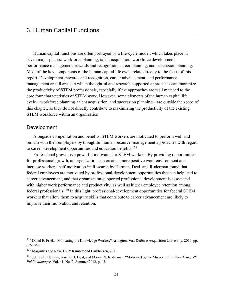Human capital functions are often portrayed by a life-cycle model, which takes place in seven major phases: workforce planning, talent acquisition, workforce development, performance management, rewards and recognition, career planning, and succession planning. Most of the key components of the human capital life cycle relate directly to the focus of this report. Development, rewards and recognition, career advancement, and performance management are all areas in which thoughtful and research-supported approaches can maximize the productivity of STEM professionals, especially if the approaches are well matched to the core four characteristics of STEM work. However, some elements of the human capital life cycle—workforce planning, talent acquisition, and succession planning—are outside the scope of this chapter, as they do not directly contribute to maximizing the productivity of the existing STEM workforce within an organization.

#### Development

Alongside compensation and benefits, STEM workers are motivated to perform well and remain with their employers by thoughtful human resource–management approaches with regard to career-development opportunities and education benefits.138

Professional growth is a powerful motivator for STEM workers. By providing opportunities for professional growth, an organization can create a more positive work environment and increase workers' self-motivation.<sup>139</sup> Research by Herman, Deal, and Ruderman found that federal employees are motivated by professional-development opportunities that can help lead to career advancement, and that organization-supported professional development is associated with higher work performance and productivity, as well as higher employee retention among federal professionals.140 In this light, professional-development opportunities for federal STEM workers that allow them to acquire skills that contribute to career advancement are likely to improve their motivation and retention.

<sup>&</sup>lt;sup>138</sup> David E. Frick, "Motivating the Knowledge Worker," Arlington, Va.: Defense Acquisition University, 2010, pp. 369–387.

<sup>139</sup> Margulies and Raia, 1967; Ramsey and Barkhuizen, 2011.

<sup>&</sup>lt;sup>140</sup> Jeffrey L. Herman, Jennifer J. Deal, and Marian N. Ruderman, "Motivated by the Mission or by Their Careers?" *Public Manager*, Vol. 41, No. 2, Summer 2012, p. 43.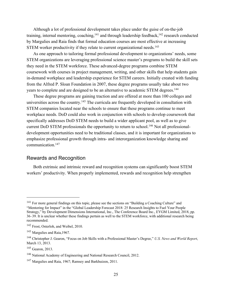Although a lot of professional development takes place under the guise of on-the-job training, internal mentoring, coaching,  $141$  and through leadership feedback,  $142$  research conducted by Margulies and Raia finds that formal education courses are most effective at increasing STEM worker productivity if they relate to current organizational needs.<sup>143</sup>

As one approach to tailoring formal professional development to organizations' needs, some STEM organizations are leveraging professional science master's programs to build the skill sets they need in the STEM workforce. These advanced-degree programs combine STEM coursework with courses in project management, writing, and other skills that help students gain in-demand workplace and leadership experience for STEM careers. Initially created with funding from the Alfred P. Sloan Foundation in 2007, these degree programs usually take about two years to complete and are designed to be an alternative to academic STEM degrees.<sup>144</sup>

These degree programs are gaining traction and are offered at more than 100 colleges and universities across the country.<sup>145</sup> The curricula are frequently developed in consultation with STEM companies located near the schools to ensure that these programs continue to meet workplace needs. DoD could also work in conjunction with schools to develop coursework that specifically addresses DoD STEM needs to build a wider applicant pool, as well as to give current DoD STEM professionals the opportunity to return to school.<sup>146</sup> Not all professionaldevelopment opportunities need to be traditional classes, and it is important for organizations to emphasize professional growth through intra- and interorganization knowledge sharing and communication.147

#### Rewards and Recognition

Both extrinsic and intrinsic reward and recognition systems can significantly boost STEM workers' productivity. When properly implemented, rewards and recognition help strengthen

<sup>&</sup>lt;sup>141</sup> For more general findings on this topic, please see the sections on "Building a Coaching Culture" and "Mentoring for Impact" in the "Global Leadership Forecast 2018: 25 Research Insights to Fuel Your People Strategy," by Development Dimensions International, Inc., The Conference Board Inc., EYGM Limited, 2018, pp. 36–39. It is unclear whether these findings pertain as well to the STEM workforce, with additional research being recommended.

<sup>&</sup>lt;sup>142</sup> Frost, Osterloh, and Weibel, 2010.

<sup>&</sup>lt;sup>143</sup> Margulies and Raia, 1967.

<sup>144</sup> Christopher J. Gearon, "Focus on Job Skills with a Professional Master's Degree," *U.S. News and World Report*, March 13, 2013.

<sup>145</sup> Gearon, 2013.

<sup>146</sup> National Academy of Engineering and National Research Council, 2012.

<sup>147</sup> Margulies and Raia, 1967; Ramsey and Barkhuizen, 2011.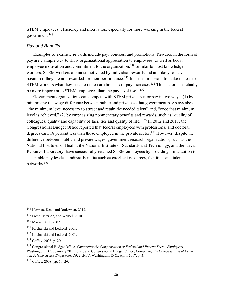STEM employees' efficiency and motivation, especially for those working in the federal government.148

#### *Pay and Benefits*

Examples of extrinsic rewards include pay, bonuses, and promotions. Rewards in the form of pay are a simple way to show organizational appreciation to employees, as well as boost employee motivation and commitment to the organization.<sup>149</sup> Similar to most knowledge workers, STEM workers are most motivated by individual rewards and are likely to leave a position if they are not rewarded for their performance.<sup>150</sup> It is also important to make it clear to STEM workers what they need to do to earn bonuses or pay increases.<sup>151</sup> This factor can actually be more important to STEM employees than the pay level itself.<sup>152</sup>

Government organizations can compete with STEM private-sector pay in two ways: (1) by minimizing the wage difference between public and private so that government pay stays above "the minimum level necessary to attract and retain the needed talent" and, "once that minimum level is achieved," (2) by emphasizing nonmonetary benefits and rewards, such as "quality of colleagues, quality and capability of facilities and quality of life."153 In 2012 and 2017, the Congressional Budget Office reported that federal employees with professional and doctoral degrees earn 18 percent less than those employed in the private sector.<sup>154</sup> However, despite the difference between public and private wages, government research organizations, such as the National Institutes of Health, the National Institute of Standards and Technology, and the Naval Research Laboratory, have successfully retained STEM employees by providing—in addition to acceptable pay levels—indirect benefits such as excellent resources, facilities, and talent networks.155

<sup>148</sup> Herman, Deal, and Ruderman, 2012.

<sup>149</sup> Frost, Osterloh, and Weibel, 2010.

<sup>150</sup> Marvel et al., 2007.

<sup>151</sup> Kochanski and Ledford, 2001.

<sup>152</sup> Kochanski and Ledford, 2001.

<sup>153</sup> Coffey, 2008, p. 20.

<sup>154</sup> Congressional Budget Office, *Comparing the Compensation of Federal and Private-Sector Employees*, Washington, D.C., January 2012, p. ix, and Congressional Budget Office, *Comparing the Compensation of Federal and Private-Sector Employees, 2011–2015*, Washington, D.C., April 2017, p. 3.

<sup>155</sup> Coffey, 2008, pp. 19–20.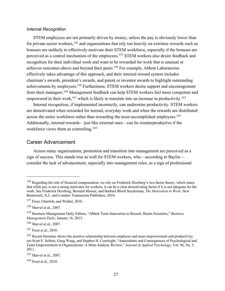#### *Internal Recognition*

STEM employees are not primarily driven by money, unless the pay is obviously lower than for private-sector workers,<sup>156</sup> and organizations that rely too heavily on extrinsic rewards such as bonuses are unlikely to effectively motivate their STEM workforce, especially if the bonuses are perceived as a control mechanism of the employees.157 STEM workers also desire feedback and recognition for their individual work and want to be rewarded for work that is unusual or achieves outcomes above and beyond their peers.158 For example, Abbott Laboratories effectively takes advantage of this approach, and their internal reward system includes chairman's awards, president's awards, and patent or inventor awards to highlight outstanding achievements by employees.159 Furthermore, STEM workers desire support and encouragement from their managers.160 Management feedback can help STEM workers feel more competent and empowered in their work,<sup>161</sup> which is likely to translate into an increase in productivity.<sup>162</sup>

Internal recognition, if implemented incorrectly, can undermine productivity. STEM workers are demotivated when rewarded for normal, everyday work and when the rewards are distributed across the entire workforce rather than rewarding the most-accomplished employees.<sup>163</sup> Additionally, internal rewards—just like external ones—can be counterproductive if the workforce views them as controlling.<sup>164</sup>

#### Career Advancement

Across many organizations, promotion and transition into management are perceived as a sign of success. This stands true as well for STEM workers, who—according to Baylin consider the lack of advancement, especially into management roles, as a sign of professional

<sup>&</sup>lt;sup>156</sup> Regarding the role of financial compensation, we rely on Frederick Herzberg's two-factor theory, which states that while pay is not a strong motivator for workers, it can be a clear demotivating factor if it is not adequate for the work. See Frederick Herzberg, Bernard Mauser, and Barbara Bloch Snyderman, *The Motivation to Work*, New Brunswick, N.J., and London: Transaction Publishers, 2010.

<sup>157</sup> Frost, Osterloh, and Weibel, 2010.

<sup>158</sup> Marvel et al., 2007.

<sup>159</sup> Business Management Daily Editors, "Abbott Touts Innovation to Recruit, Retain Scientists," *Business Management Daily*, January 16, 2013.

<sup>160</sup> Marvel et al., 2007.

<sup>161</sup> Frost et al., 2010.

 $162$  Recent literature shows the positive relationship between employee and team empowerment and productivity; see Scott E. Seibert, Gang Wang, and Stephen H. Courtright, "Antecedents and Consequences of Psychological and Team Empowerment in Organizations: A Meta-Analytic Review," *Journal of Applied Psychology*, Vol. 96, No. 5, 2011.

<sup>&</sup>lt;sup>163</sup> Marvel et al., 2007.

<sup>164</sup> Frost et al., 2010.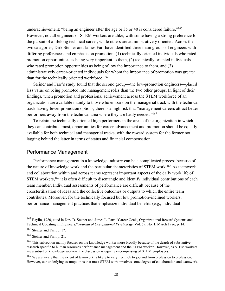underachievement: "being an engineer after the age or 35 or 40 is considered failure."<sup>165</sup> However, not all engineers or STEM workers are alike, with some having a strong preference for the pursuit of a lifelong technical career, while others are administratively oriented. Across the two categories, Dirk Steiner and James Farr have identified three main groups of engineers with differing preferences and emphasis on promotion: (1) technically oriented individuals who rated promotion opportunities as being very important to them, (2) technically oriented individuals who rated promotion opportunities as being of low the importance to them, and (3) administratively career-oriented individuals for whom the importance of promotion was greater than for the technically oriented workforce.<sup>166</sup>

Steiner and Farr's study found that the second group—the low-promotion engineers—placed less value on being promoted into management roles than the two other groups. In light of their findings, when promotion and professional achievement across the STEM workforce of an organization are available mainly to those who embark on the managerial track with the technical track having fewer promotion options, there is a high risk that "management careers attract better performers away from the technical area where they are badly needed."<sup>167</sup>

To retain the technically oriented high performers in the areas of the organization in which they can contribute most, opportunities for career advancement and promotion should be equally available for both technical and managerial tracks, with the reward system for the former not lagging behind the latter in terms of status and financial compensation.

#### Performance Management

Performance management in a knowledge industry can be a complicated process because of the nature of knowledge work and the particular characteristics of STEM work.<sup>168</sup> As teamwork and collaboration within and across teams represent important aspects of the daily work life of STEM workers,<sup>169</sup> it is often difficult to disentangle and identify individual contributions of each team member. Individual assessments of performance are difficult because of the crossfertilization of ideas and the collective outcomes or outputs to which the entire team contributes. Moreover, for the technically focused but low promotion–inclined workers, performance-management practices that emphasize individual benefits (e.g., individual

<sup>165</sup> Baylin, 1980, cited in Dirk D. Steiner and James L. Farr, "Career Goals, Organizational Reward Systems and Technical Updating in Engineers," *Journal of Occupational Psychology*, Vol. 59, No. 1, March 1986, p. 14.

<sup>166</sup> Steiner and Farr, p. 17.

<sup>167</sup> Steiner and Farr, p. 21.

<sup>&</sup>lt;sup>168</sup> This subsection mainly focuses on the knowledge worker more broadly because of the dearth of substantive research specific to human resources performance management and the STEM worker. However, as STEM workers are a subset of knowledge workers, the discussion is equally encompassing of STEM employees.

<sup>&</sup>lt;sup>169</sup> We are aware that the extent of teamwork is likely to vary from job to job and from profession to profession. However, our underlying assumption is that most STEM work involves some degree of collaboration and teamwork.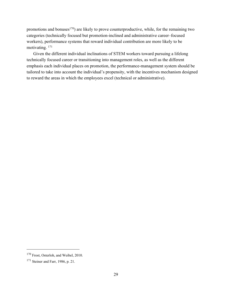promotions and bonuses<sup>170</sup>) are likely to prove counterproductive, while, for the remaining two categories (technically focused but promotion-inclined and administrative career–focused workers), performance systems that reward individual contribution are more likely to be motivating. 171

Given the different individual inclinations of STEM workers toward pursuing a lifelong technically focused career or transitioning into management roles, as well as the different emphasis each individual places on promotion, the performance-management system should be tailored to take into account the individual's propensity, with the incentives mechanism designed to reward the areas in which the employees excel (technical or administrative).

<sup>170</sup> Frost, Osterloh, and Weibel, 2010.

<sup>171</sup> Steiner and Farr, 1986, p. 21.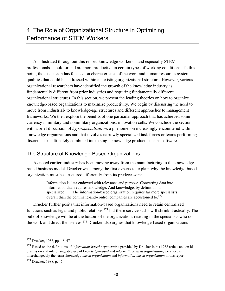## 4. The Role of Organizational Structure in Optimizing Performance of STEM Workers

As illustrated throughout this report, knowledge workers—and especially STEM professionals—look for and are more productive in certain types of working conditions. To this point, the discussion has focused on characteristics of the work and human resources system qualities that could be addressed within an existing organizational structure. However, various organizational researchers have identified the growth of the knowledge industry as fundamentally different from prior industries and requiring fundamentally different organizational structures. In this section, we present the leading theories on how to organize knowledge-based organizations to maximize productivity. We begin by discussing the need to move from industrial- to knowledge-age structures and different approaches to management frameworks. We then explore the benefits of one particular approach that has achieved some currency in military and nonmilitary organizations: innovation cells. We conclude the section with a brief discussion of *hyperspecialization*, a phenomenon increasingly encountered within knowledge organizations and that involves narrowly specialized task forces or teams performing discrete tasks ultimately combined into a single knowledge product, such as software.

#### The Structure of Knowledge-Based Organizations

As noted earlier, industry has been moving away from the manufacturing to the knowledgebased business model. Drucker was among the first experts to explain why the knowledge-based organization must be structured differently from its predecessors:

> Information is data endowed with relevance and purpose. Converting data into information thus requires knowledge. And knowledge, by definition, is specialized. . . . The information-based organization requires far more specialists overall than the command-and-control companies are accustomed to.<sup>172</sup>

Drucker further posits that information-based organizations need to retain centralized functions such as legal and public relations, $173$  but these service staffs will shrink drastically. The bulk of knowledge will be at the bottom of the organization, residing in the specialists who do the work and direct themselves.174 Drucker also argues that knowledge-based organizations

<sup>172</sup> Drucker, 1988, pp. 46–47.

<sup>173</sup> Based on the definitions of *information-based organization* provided by Drucker in his 1988 article and on his discussion and interchangeable use of k*nowledge-based* and *information-based organization*, we also use interchangeably the terms *knowledge-based organization* and *information-based organization* in this report.

<sup>174</sup> Drucker, 1988, p. 47.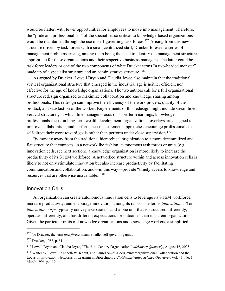would be flatter, with fewer opportunities for employees to move into management. Therefore, the "pride and professionalism" of the specialists so critical to knowledge-based organizations would be maintained through the use of self-governing task forces.<sup>175</sup> Arising from this new structure driven by task forces with a small centralized staff, Drucker foresees a series of management problems arising, among them being the need to identify the management structure appropriate for these organizations and their respective business managers. The latter could be task force leaders or one of the two components of what Drucker terms "a two-headed monster" made up of a specialist structure and an administrative structure.<sup>176</sup>

As argued by Drucker, Lowell Bryan and Claudia Joyce also maintain that the traditional vertical organizational structure that emerged in the industrial age is neither efficient nor effective for the age of knowledge organizations. The two authors call for a full organizational structure redesign organized to maximize collaboration and knowledge sharing among professionals. This redesign can improve the efficiency of the work process, quality of the product, and satisfaction of the worker. Key elements of this redesign might include streamlined vertical structures, in which line managers focus on short-term earnings, knowledge professionals focus on long-term wealth development, organizational overlays are designed to improve collaboration, and performance-measurement approaches encourage professionals to self-direct their work toward goals rather than perform under close supervision.<sup>177</sup>

By moving away from the traditional hierarchical organization to a more decentralized and flat structure that connects, in a networklike fashion, autonomous task forces or units (e.g., innovation cells, see next section), a knowledge organization is more likely to increase the productivity of its STEM workforce. A networked structure within and across innovation cells is likely to not only stimulate innovation but also increase productivity by facilitating communication and collaboration, and—in this way—provide "timely access to knowledge and resources that are otherwise unavailable."178

#### Innovation Cells

An organization can create autonomous innovation cells to leverage its STEM workforce, increase productivity, and encourage innovation among its ranks. The terms *innovation cell* or *innovation corps* typically convey a separate, stand-alone unit that is structured differently, operates differently, and has different expectations for outcomes than its parent organization. Given the particular traits of knowledge organizations and knowledge workers, a simplified

<sup>175</sup> To Drucker, the term *task forces* means smaller self-governing units.

<sup>176</sup> Drucker, 1988, p. 51.

<sup>177</sup> Lowell Bryan and Claudia Joyce, "The 21st-Century Organization," *McKinsey Quarterly*, August 16, 2005.

<sup>&</sup>lt;sup>178</sup> Walter W. Powell, Kenneth W. Koput, and Laurel Smith-Doerr, "Interorganizational Collaboration and the Locus of Innovation: Networks of Learning in Biotechnology," *Administrative Science Quarterly*, Vol. 41, No. 1, March 1996, p. 119.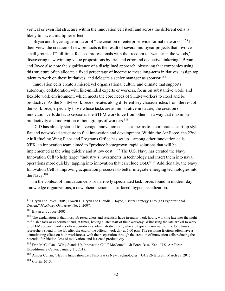vertical or even flat structure within the innovation cell itself and across the different cells is likely to have a multiplier effect.

Bryan and Joyce argue in favor of "the creation of enterprise-wide formal networks."<sup>179</sup> In their view, the creation of new products is the result of several multiyear projects that involve small groups of "full-time, focused professionals with the freedom to 'wander in the woods,' discovering new winning value propositions by trial and error and deductive tinkering." Bryan and Joyce also note the significance of a disciplined approach, observing that companies using this structure often allocate a fixed percentage of income to these long-term initiatives, assign top talent to work on these initiatives, and delegate a senior manager as sponsor.<sup>180</sup>

Innovation cells create a microlevel organizational culture and climate that supports autonomy, collaboration with like-minded experts or workers, focus on substantive work, and flexible work environment, which meets the core needs of STEM workers to excel and be productive. As the STEM workforce operates along different key characteristics from the rest of the workforce, especially those whose tasks are administrative in nature, the creation of innovation cells de facto separates the STEM workforce from others in a way that maximizes productivity and motivation of both groups of workers.<sup>181</sup>

DoD has already started to leverage innovation cells as a means to incorporate a start-up style flat and networked structure to fuel innovation and development. Within the Air Force, the 22nd Air Refueling Wing Plans and Programs Office has set up—among other innovation cells— XPX, an innovation team aimed to "produce homegrown, rapid solutions that will be implemented at the wing quickly and at low cost."<sup>182</sup> The U.S. Navy has created the Navy Innovation Cell to help target "industry's investments in technology and insert them into naval operations more quickly, tapping into innovation that can elude DoD."183 Additionally, the Navy Innovation Cell is improving acquisition processes to better integrate emerging technologies into the Navy.184

In the context of innovation cells or narrowly specialized task forces found in modern-day knowledge organizations, a new phenomenon has surfaced: hyperspecialization.

<sup>&</sup>lt;sup>179</sup> Bryan and Joyce, 2005; Lowell L. Bryan and Claudia I. Joyce, "Better Strategy Through Organizational Design," *McKinsey Quarterly*, No. 2, 2007.

<sup>180</sup> Bryan and Joyce, 2005.

 $181$  The explanation is that most lab researchers and scientists have irregular work hours, working late into the night to finish a task or experiment and, at times, having a later start of their workday. Witnessing the late arrival to work of STEM research workers often demotivates administrative staff, who are typically unaware of the long hours researchers spend in the lab after the end of the official work day at 5:00 p.m. The resulting frictions often have a demotivating effect on both workforces, with their separation through the creation of innovation cells reducing the potential for friction, loss of motivation, and lessened productivity.

<sup>182</sup> Erin McClellan, "Wing Stands Up Innovation Cell," McConnell Air Force Base, Kan.: U.S. Air Force Expeditionary Center, January 11, 2018.

<sup>183</sup> Amber Corrin, "Navy's Innovation Cell Fast-Tracks New Technologies," C4ISRNET.com, March 27, 2015.

<sup>184</sup> Corrin, 2015.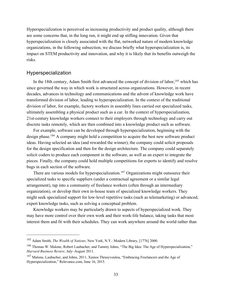Hyperspecialization is perceived as increasing productivity and product quality, although there are some concerns that, in the long run, it might end up stifling innovation. Given that hyperspecialization is closely associated with the flat, networked nature of modern knowledge organizations, in the following subsection, we discuss briefly what hyperspecialization is, its impact on STEM productivity and innovation, and why it is likely that its benefits outweigh the risks.

#### Hyperspecialization

In the 18th century, Adam Smith first advanced the concept of division of labor,<sup>185</sup> which has since governed the way in which work is structured across organizations. However, in recent decades, advances in technology and communications and the advent of knowledge work have transformed division of labor, leading to hyperspecialization. In the context of the traditional division of labor, for example, factory workers in assembly lines carried out specialized tasks, ultimately assembling a physical product such as a car. In the context of hyperspecialization, 21st-century knowledge workers connect to their employers through technology and carry out discrete tasks remotely, which are then combined into a knowledge product such as software.

For example, software can be developed through hyperspecialization, beginning with the design phase.<sup>186</sup> A company might hold a competition to acquire the best new software product ideas. Having selected an idea (and rewarded the winner), the company could solicit proposals for the design specification and then for the design architecture. The company could separately solicit coders to produce each component in the software, as well as an expert to integrate the pieces. Finally, the company could hold multiple competitions for experts to identify and resolve bugs in each section of the software.

There are various models for hyperspecialization.<sup>187</sup> Organizations might outsource their specialized tasks to specific suppliers (under a contractual agreement or a similar legal arrangement), tap into a community of freelance workers (often through an intermediary organization), or develop their own in-house team of specialized knowledge workers. They might seek specialized support for low-level repetitive tasks (such as telemarketing) or advanced, expert knowledge tasks, such as solving a conceptual problem.

Knowledge workers may be particularly drawn to aspects of hyperspecialized work. They may have more control over their own work and their work-life balance, taking tasks that most interest them and fit with their schedules. They can work anywhere around the world rather than

<sup>185</sup> Adam Smith, *The Wealth of Nations*, New York, N.Y.: Modern Library, [1776] 2000.

<sup>&</sup>lt;sup>186</sup> Thomas W. Malone, Robert Laubacher, and Tammy Johns, "The Big Idea: The Age of Hyperspecialization," *Harvard Business Review*, July–August 2011.

<sup>187</sup> Malone, Laubacher, and Johns, 2011; Xenios Thrasyvoulou, "Embracing Freelancers and the Age of Hyperspecialization," Relevance.com, June 16, 2015.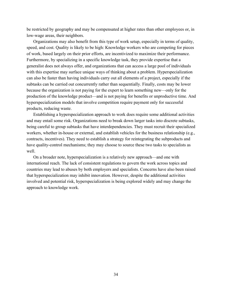be restricted by geography and may be compensated at higher rates than other employees or, in low-wage areas, their neighbors.

Organizations may also benefit from this type of work setup, especially in terms of quality, speed, and cost. Quality is likely to be high: Knowledge workers who are competing for pieces of work, based largely on their prior efforts, are incentivized to maximize their performance. Furthermore, by specializing in a specific knowledge task, they provide expertise that a generalist does not always offer, and organizations that can access a large pool of individuals with this expertise may surface unique ways of thinking about a problem. Hyperspecialization can also be faster than having individuals carry out all elements of a project, especially if the subtasks can be carried out concurrently rather than sequentially. Finally, costs may be lower because the organization is not paying for the expert to learn something new—only for the production of the knowledge product—and is not paying for benefits or unproductive time. And hyperspecialization models that involve competition require payment only for successful products, reducing waste.

Establishing a hyperspecialization approach to work does require some additional activities and may entail some risk. Organizations need to break down larger tasks into discrete subtasks, being careful to group subtasks that have interdependencies. They must recruit their specialized workers, whether in-house or external, and establish vehicles for the business relationship (e.g., contracts, incentives). They need to establish a strategy for reintegrating the subproducts and have quality-control mechanisms; they may choose to source these two tasks to specialists as well.

On a broader note, hyperspecialization is a relatively new approach—and one with international reach. The lack of consistent regulations to govern the work across topics and countries may lead to abuses by both employers and specialists. Concerns have also been raised that hyperspecialization may inhibit innovation. However, despite the additional activities involved and potential risk, hyperspecialization is being explored widely and may change the approach to knowledge work.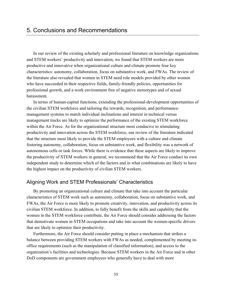In our review of the existing scholarly and professional literature on knowledge organizations and STEM workers' productivity and innovation, we found that STEM workers are more productive and innovative when organizational culture and climate promote four key characteristics: autonomy, collaboration, focus on substantive work, and FWAs. The review of the literature also revealed that women in STEM need role models provided by other women who have succeeded in their respective fields, family-friendly policies, opportunities for professional growth, and a work environment free of negative stereotypes and of sexual harassment.

In terms of human-capital functions, extending the professional-development opportunities of the civilian STEM workforce and tailoring the rewards, recognition, and performancemanagement systems to match individual inclinations and interest in technical versus management tracks are likely to optimize the performance of the existing STEM workforce within the Air Force. As for the organizational structure most conducive to stimulating productivity and innovation across the STEM workforce, our review of the literature indicated that the structure most likely to provide the STEM employees with a culture and climate fostering autonomy, collaboration, focus on substantive work, and flexibility was a network of autonomous cells or task forces. While there is evidence that these aspects are likely to improve the productivity of STEM workers in general, we recommend that the Air Force conduct its own independent study to determine which of the factors and in what combinations are likely to have the highest impact on the productivity of civilian STEM workers.

#### Aligning Work and STEM Professionals' Characteristics

By promoting an organizational culture and climate that take into account the particular characteristics of STEM work such as autonomy, collaboration, focus on substantive work, and FWAs, the Air Force is more likely to promote creativity, innovation, and productivity across its civilian STEM workforce. In addition, to fully benefit from the skills and capability that the women in the STEM workforce contribute, the Air Force should consider addressing the factors that demotivate women in STEM occupations and take into account the women-specific drivers that are likely to optimize their productivity.

Furthermore, the Air Force should consider putting in place a mechanism that strikes a balance between providing STEM workers with FWAs as needed, complemented by meeting inoffice requirements (such as the manipulation of classified information), and access to the organization's facilities and technologies. Because STEM workers in the Air Force and in other DoD components are government employees who generally have to deal with more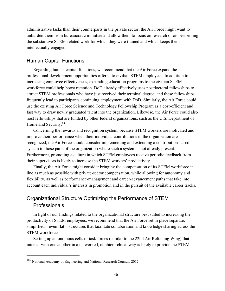administrative tasks than their counterparts in the private sector, the Air Force might want to unburden them from bureaucratic minutiae and allow them to focus on research or on performing the substantive STEM-related work for which they were trained and which keeps them intellectually engaged.

#### Human Capital Functions

Regarding human capital functions, we recommend that the Air Force expand the professional-development opportunities offered to civilian STEM employees. In addition to increasing employee effectiveness, expanding education programs to the civilian STEM workforce could help boost retention. DoD already effectively uses postdoctoral fellowships to attract STEM professionals who have just received their terminal degree, and these fellowships frequently lead to participants continuing employment with DoD. Similarly, the Air Force could use the existing Air Force Science and Technology Fellowship Program as a cost-efficient and fast way to draw newly graduated talent into the organization. Likewise, the Air Force could also host fellowships that are funded by other federal organizations, such as the U.S. Department of Homeland Security.188

Concerning the rewards and recognition system, because STEM workers are motivated and improve their performance when their individual contributions to the organization are recognized, the Air Force should consider implementing and extending a contribution-based system to those parts of the organization where such a system is not already present. Furthermore, promoting a culture in which STEM employees receive periodic feedback from their supervisors is likely to increase the STEM workers' productivity.

Finally, the Air Force might consider bringing the compensation of its STEM workforce in line as much as possible with private-sector compensation, while allowing for autonomy and flexibility, as well as performance-management and career-advancement paths that take into account each individual's interests in promotion and in the pursuit of the available career tracks.

## Organizational Structure Optimizing the Performance of STEM Professionals

In light of our findings related to the organizational structure best suited to increasing the productivity of STEM employees, we recommend that the Air Force set in place separate, simplified—even flat—structures that facilitate collaboration and knowledge sharing across the STEM workforce.

Setting up autonomous cells or task forces (similar to the 22nd Air Refueling Wing) that interact with one another in a networked, nonhierarchical way is likely to provide the STEM

<sup>188</sup> National Academy of Engineering and National Research Council, 2012.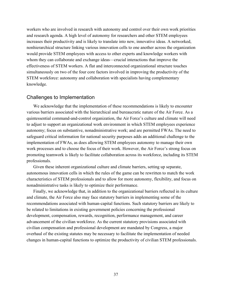workers who are involved in research with autonomy and control over their own work priorities and research agenda. A high level of autonomy for researchers and other STEM employees increases their productivity and is likely to translate into new, innovative ideas. A networked, nonhierarchical structure linking various innovation cells to one another across the organization would provide STEM employees with access to other experts and knowledge workers with whom they can collaborate and exchange ideas—crucial interactions that improve the effectiveness of STEM workers. A flat and interconnected organizational structure touches simultaneously on two of the four core factors involved in improving the productivity of the STEM workforce: autonomy and collaboration with specialists having complementary knowledge.

#### Challenges to Implementation

We acknowledge that the implementation of these recommendations is likely to encounter various barriers associated with the hierarchical and bureaucratic nature of the Air Force. As a quintessential command-and-control organization, the Air Force's culture and climate will need to adjust to support an organizational work environment in which STEM employees experience autonomy; focus on substantive, nonadministrative work; and are permitted FWAs. The need to safeguard critical information for national security purposes adds an additional challenge to the implementation of FWAs, as does allowing STEM employees autonomy to manage their own work processes and to choose the focus of their work. However, the Air Force's strong focus on promoting teamwork is likely to facilitate collaboration across its workforce, including its STEM professionals.

Given these inherent organizational culture and climate barriers, setting up separate, autonomous innovation cells in which the rules of the game can be rewritten to match the work characteristics of STEM professionals and to allow for more autonomy, flexibility, and focus on nonadministrative tasks is likely to optimize their performance.

Finally, we acknowledge that, in addition to the organizational barriers reflected in its culture and climate, the Air Force also may face statutory barriers in implementing some of the recommendations associated with human-capital functions. Such statutory barriers are likely to be related to limitations in existing government policies concerning the professional development, compensation, rewards, recognition, performance management, and career advancement of the civilian workforce. As the current statutory provisions associated with civilian compensation and professional development are mandated by Congress, a major overhaul of the existing statutes may be necessary to facilitate the implementation of needed changes in human-capital functions to optimize the productivity of civilian STEM professionals.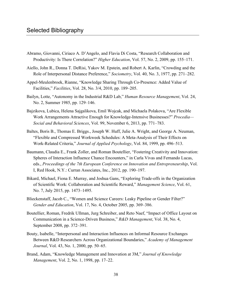- Abramo, Giovanni, Ciriaco A. D'Angelo, and Flavia Di Costa, "Research Collaboration and Productivity: Is There Correlation?" *Higher Education*, Vol. 57, No. 2, 2009, pp. 155–171.
- Aiello, John R., Donna T. DeRisi, Yakov M. Epstein, and Robert A. Karlin, "Crowding and the Role of Interpersonal Distance Preference," *Sociometry*, Vol. 40, No. 3, 1977, pp. 271–282.
- Appel-Meulenbroek, Rianne, "Knowledge Sharing Through Co-Presence: Added Value of Facilities," *Facilities*, Vol. 28, No. 3/4, 2010, pp. 189–205.
- Bailyn, Lotte, "Autonomy in the Industrial R&D Lab," *Human Resource Management*, Vol. 24, No. 2, Summer 1985, pp. 129–146.
- Bajzikova, Lubica, Helena Sajgalikova, Emil Wojcak, and Michaela Polakova, "Are Flexible Work Arrangements Attractive Enough for Knowledge-Intensive Businesses?" *Procedia— Social and Behavioral Sciences*, Vol. 99, November 6, 2013, pp. 771–783.
- Baltes, Boris B., Thomas E. Briggs., Joseph W. Huff, Julie A. Wright, and George A. Neuman, "Flexible and Compressed Workweek Schedules: A Meta-Analysis of Their Effects on Work-Related Criteria," *Journal of Applied Psychology*, Vol. 84, 1999, pp. 496–513.
- Baumann, Claudia E., Frank Zoller, and Roman Boutellier, "Fostering Creativity and Innovation: Spheres of Interaction Influence Chance Encounters," in Carla Vivas and Fernando Lucas, eds., *Proceedings of the 7th European Conference on Innovation and Entrepreneurship*, Vol. I, Red Hook, N.Y.: Curran Associates, Inc., 2012, pp. 190–197.
- Bikard, Michael, Fiona E. Murray, and Joshua Gans, "Exploring Trade-offs in the Organization of Scientific Work: Collaboration and Scientific Reward," *Management Science*, Vol. 61, No. 7, July 2015, pp. 1473–1495.
- Blieckenstaff, Jacob C., "Women and Science Careers: Leaky Pipeline or Gender Filter?" *Gender and Education*, Vol. 17, No. 4, October 2005, pp. 369–386.
- Boutellier, Roman, Fredrik Ullman, Jurg Schreiber, and Reto Naef, "Impact of Office Layout on Communication in a Science-Driven Business," *R&D Management*, Vol. 38, No. 4, September 2008, pp. 372–391.
- Bouty, Isabelle, "Interpersonal and Interaction Influences on Informal Resource Exchanges Between R&D Researchers Across Organizational Boundaries," *Academy of Management Journal*, Vol. 43, No. 1, 2000, pp. 50–65.
- Brand, Adam, "Knowledge Management and Innovation at 3M," *Journal of Knowledge Management*, Vol. 2, No. 1, 1998, pp. 17–22.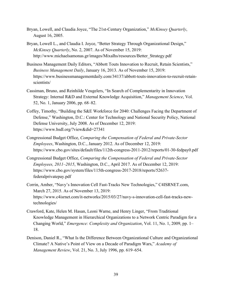- Bryan, Lowell, and Claudia Joyce, "The 21st-Century Organization," *McKinsey Quarterly*, August 16, 2005.
- Bryan, Lowell L., and Claudia I. Joyce, "Better Strategy Through Organizational Design," *McKinsey Quarterly*, No. 2, 2007. As of November 15, 2019: [http://www.michaelsamonas.gr/images/Mixalhs/resources/Better\\_Strategy.pdf](http://www.michaelsamonas.gr/images/Mixalhs/resources/Better_Strategy.pdf)
- Business Management Daily Editors, "Abbott Touts Innovation to Recruit, Retain Scientists," *Business Management Daily*, January 16, 2013. As of November 15, 2019: [https://www.businessmanagementdaily.com/34137/abbott-touts-innovation-to-recruit-retain](https://www.businessmanagementdaily.com/34137/abbott-touts-innovation-to-recruit-retain-scientists/)scientists/
- Cassiman, Bruno, and Reinhilde Veugelers, "In Search of Complementarity in Innovation Strategy: Internal R&D and External Knowledge Acquisition," *Management Science*, Vol. 52, No. 1, January 2006, pp. 68–82.
- Coffey, Timothy, "Building the S&E Workforce for 2040: Challenges Facing the Department of Defense," Washington, D.C.: Center for Technology and National Security Policy, National Defense University, July 2008. As of December 12, 2019: <https://www.hsdl.org/?view&did=27341>
- Congressional Budget Office, *Comparing the Compensation of Federal and Private-Sector Employees*, Washington, D.C., January 2012. As of December 12, 2019: <https://www.cbo.gov/sites/default/files/112th-congress-2011-2012/reports/01-30-fedpay0.pdf>
- Congressional Budget Office, *Comparing the Compensation of Federal and Private-Sector Employees, 2011–2015*, Washington, D.C., April 2017. As of December 12, 2019: [https://www.cbo.gov/system/files/115th-congress-2017-2018/reports/52637](https://www.cbo.gov/system/files/115th-congress-2017-2018/reports/52637-federalprivatepay.pdf) federalprivatepay.pdf
- Corrin, Amber, "Navy's Innovation Cell Fast-Tracks New Technologies," C4ISRNET.com, March 27, 2015. As of November 13, 2019: [https://www.c4isrnet.com/it-networks/2015/03/27/navy-s-innovation-cell-fast-tracks-new](https://www.c4isrnet.com/it-networks/2015/03/27/navy-s-innovation-cell-fast-tracks-new-technologies/)technologies/
- Crawford, Kate, Helen M. Hasan, Leoni Warne, and Henry Linger, "From Traditional Knowledge Management in Hierarchical Organizations to a Network Centric Paradigm for a Changing World," *Emergence: Complexity and Organization*, Vol. 11, No. 1, 2009, pp. 1– 18.
- Denison, Daniel R., "What Is the Difference Between Organizational Culture and Organizational Climate? A Native's Point of View on a Decade of Paradigm Wars," *Academy of Management Review*, Vol. 21, No. 3, July 1996, pp. 619–654.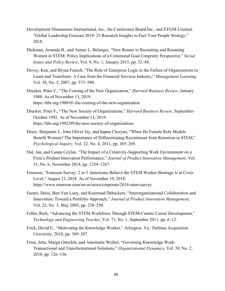- Development Dimensions International, Inc., the Conference Board Inc., and EYGM Limited, "Global Leadership Forecast 2018: 25 Research Insights to Fuel Your People Strategy," 2018.
- Diekman, Amanda B., and Aimee L. Belanger, "New Routes to Recruiting and Retaining Women in STEM: Policy Implications of a Communal Goal Congruity Perspective," *Social Issues and Policy Review*, Vol. 9, No. 1, January 2015, pp. 52–88.
- Dovey, Ken, and Bryan Fenech, "The Role of Enterprise Logic in the Failure of Organizations to Learn and Transform: A Case from the Financial Services Industry," *Management Learning*, Vol. 38, No. 5, 2007, pp. 573–590.
- Drucker, Peter F., "The Coming of the New Organization," *Harvard Business Review*, January 1988. As of November 13, 2019: <https://hbr.org/1988/01/the-coming-of-the-new-organization>
- Drucker, Peter F., "The New Society of Organizations," *Harvard Business Review*, September– October 1992. As of November 13, 2019: <https://hbr.org/1992/09/the-new-society-of-organizations>
- Drury, Benjamin J., John Oliver Siy, and Sapna Cheryan, "When Do Female Role Models Benefit Women? The Importance of Differentiating Recruitment from Retention in STEM," *Psychological Inquiry*, Vol. 22, No. 4, 2011, pp. 265–269.
- Dul, Jan, and Canan Ceylan, "The Impact of a Creativity-Supporting Work Environment on a Firm's Product Innovation Performance," *Journal of Product Innovation Management*, Vol. 31, No. 6, November 2014, pp. 1254–1267.
- Emerson, "Emerson Survey: 2 in 5 Americans Believe the STEM Worker Shortage Is at Crisis Level," August 21, 2018. As of November 19, 2018: <https://www.emerson.com/en-us/news/corporate/2018-stem-survey>
- Faems, Dries, Bart Van Looy, and Koenraad Debackere, "Interorganizational Collaboration and Innovation: Toward a Portfolio Approach," *Journal of Product Innovation Management*, Vol. 22, No. 3, May 2005, pp. 238–250.
- Feller, Rich, "Advancing the STEM Workforce Through STEM-Centric Career Development," *Technology and Engineering Teacher*, Vol. 71, No. 1, September 2011, pp. 6–12.
- Frick, David E., "Motivating the Knowledge Worker," Arlington, Va.: Defense Acquisition University, 2010, pp. 369–387.
- Frost, Jetta, Margit Osterloh, and Antoinette Weibel, "Governing Knowledge Work: Transactional and Transformational Solutions," *Organizational Dynamics*, Vol. 39, No. 2, 2010, pp. 126–136.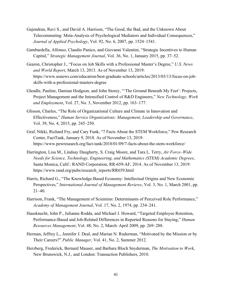- Gajendran, Ravi S., and David A. Harrison, "The Good, the Bad, and the Unknown About Telecommuting: Meta-Analysis of Psychological Mediators and Individual Consequences," *Journal of Applied Psychology*, Vol. 92, No. 6, 2007, pp. 1524–1541.
- Gambardella, Alfonso, Claudio Panico, and Giovanni Valentini, "Strategic Incentives to Human Capital," *Strategic Management Journal*, Vol. 36, No. 1, January 2015, pp. 37–52.
- Gearon, Christopher J., "Focus on Job Skills with a Professional Master's Degree," *U.S. News and World Report*, March 13, 2013. As of November 13, 2019: [https://www.usnews.com/education/best-graduate-schools/articles/2013/03/13/focus-on-job](https://www.usnews.com/education/best-graduate-schools/articles/2013/03/13/focus-on-job-skills-with-a-professional-masters-degree)skills-with-a-professional-masters-degree
- Gleadle, Pauline, Damian Hodgson, and John Storey, "'The Ground Beneath My Feet': Projects, Project Management and the Intensified Control of R&D Engineers," *New Technology, Work and Employment*, Vol. 27, No. 3, November 2012, pp. 163–177.
- Glisson, Charles, "The Role of Organizational Culture and Climate in Innovation and Effectiveness," *Human Service Organizations: Management, Leadership and Governance*, Vol. 39, No. 4, 2015, pp. 245–250.
- Graf, Nikki, Richard Fry, and Cary Funk, "7 Facts About the STEM Workforce," Pew Research Center, FactTank, January 9, 2018. As of November 13, 2019: <https://www.pewresearch.org/fact-tank/2018/01/09/7-facts-about-the-stem-workforce/>
- Harrington, Lisa M., Lindsay Daugherty, S. Craig Moore, and Tara L. Terry, *Air Force–Wide Needs for Science, Technology, Engineering, and Mathematics (STEM) Academic Degrees*, Santa Monica, Calif.: RAND Corporation, RR-659-AF, 2014. As of November 13, 2019: [https://www.rand.org/pubs/research\\_reports/RR659.html](https://www.rand.org/pubs/research_reports/RR659.html)
- Harris, Richard G., "The Knowledge-Based Economy: Intellectual Origins and New Economic Perspectives," *International Journal of Management Reviews*, Vol. 3, No. 1, March 2001, pp. 21–40.
- Harrison, Frank, "The Management of Scientists: Determinants of Perceived Role Performance," *Academy of Management Journal*, Vol. 17, No. 2, 1974, pp. 234–241.
- Hausknecht, John P., Julianne Rodda, and Michael J. Howard, "Targeted Employee Retention, Performance-Based and Job-Related Differences in Reported Reasons for Staying," *Human Resources Management*, Vol. 48, No. 2, March–April 2009, pp. 269–288.
- Herman, Jeffrey L., Jennifer J. Deal, and Marian N. Ruderman, "Motivated by the Mission or by Their Careers?" *Public Manager*, Vol. 41, No. 2, Summer 2012.
- Herzberg, Frederick, Bernard Mauser, and Barbara Bloch Snyderman, *The Motivation to Work*, New Brunswick, N.J., and London: Transaction Publishers, 2010.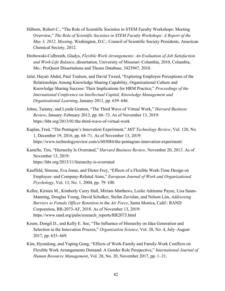- Hilborn, Robert C., "The Role of Scientific Societies in STEM Faculty Workshops: Meeting Overview," *The Role of Scientific Societies in STEM Faculty Workshops: A Report of the May 3, 2012, Meeting*, Washington, D.C.: Council of Scientific Society Presidents, American Chemical Society, 2012.
- Hrobowski-Culbreath, Gladys, *Flexible Work Arrangements: An Evaluation of Job Satisfaction and Work-Life Balance*, dissertation, University of Missouri–Columbia, 2010, Columbia, Mo.: ProQuest Dissertations and Theses Database, 3423947, 2010.
- Jalal, Hayati Abdul, Paul Toulson, and David Tweed, "Exploring Employee Perceptions of the Relationships Among Knowledge Sharing Capability, Organizational Culture and Knowledge Sharing Success: Their Implications for HRM Practice," *Proceedings of the International Conference on Intellectual Capital, Knowledge Management and Organisational Learning*, January 2011, pp. 639–646.
- Johns, Tammy, and Lynda Gratton, "The Third Wave of Virtual Work," *Harvard Business Review*, January–February 2013, pp. 66–73. As of November 13, 2019: <https://hbr.org/2013/01/the-third-wave-of-virtual-work>
- Kaplan, Fred, "The Pentagon's Innovation Experiment," *MIT Technology Review*, Vol. 120, No. 1, December 19, 2016, pp. 64–71. As of November 13, 2019: <https://www.technologyreview.com/s/603084/the-pentagons-innovation-experiment/>
- Kastelle, Tim, "Hierarchy Is Overrated," *Harvard Business Review*, November 20, 2013. As of November 13, 2019: <https://hbr.org/2013/11/hierarchy-is-overrated>
- Kauffeld, Simone, Eva Jonas, and Dieter Frey, "Effects of a Flexible Work-Time Design on Employee- and Company-Related Aims," *European Journal of Work and Organizational Psychology*, Vol. 13, No. 1, 2004, pp. 79–100.
- Keller, Kirsten M., Kimberly Curry Hall, Miriam Matthews, Leslie Adrienne Payne, Lisa Saum-Manning, Douglas Yeung, David Schulker, Stefan Zavislan, and Nelson Lim, *Addressing Barriers to Female Officer Retention in* the *Air Force*, Santa Monica, Calif.: RAND Corporation, RR-2073-AF, 2018. As of November 13, 2019: [https://www.rand.org/pubs/research\\_reports/RR2073.html](https://www.rand.org/pubs/research_reports/RR2073.html)
- Keum, Dongil D., and Kelly E. See, "The Influence of Hierarchy on Idea Generation and Selection in the Innovation Process," *Organization Science*, Vol. 28, No. 4, July–August 2017, pp. 653–669.
- Kim, Hyondong, and Yaping Gong, "Effects of Work-Family and Family-Work Conflicts on Flexible Work Arrangements Demand: A Gender Role Perspective," *International Journal of Human Resource Management*, Vol. 28, No. 20, November 2017, pp. 1–21.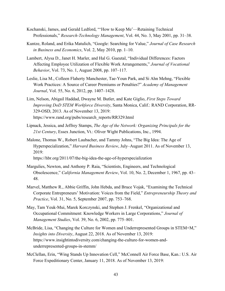- Kochanski, James, and Gerald Ledford, "'How to Keep Me'—Retaining Technical Professionals," *Research-Technology Management*, Vol. 44, No. 3, May 2001, pp. 31–38.
- Kuntze, Roland, and Erika Matulich, "Google: Searching for Value," *Journal of Case Research in Business and Economics*, Vol. 2, May 2010, pp. 1–10.
- Lambert, Alysa D., Janet H. Marler, and Hal G. Gueutal, "Individual Differences: Factors Affecting Employee Utilization of Flexible Work Arrangements," *Journal of Vocational Behavior*, Vol. 73, No. 1, August 2008, pp. 107–117.
- Leslie, Lisa M., Colleen Flaherty Manchester, Tae-Youn Park, and Si Ahn Mehng, "Flexible Work Practices: A Source of Career Premiums or Penalties?" *Academy of Management Journal*, Vol. 55, No. 6, 2012, pp. 1407–1428.
- Lim, Nelson, Abigail Haddad, Dwayne M. Butler, and Kate Giglio, *First Steps Toward Improving DoD STEM Workforce Diversity*, Santa Monica, Calif.: RAND Corporation, RR-329-OSD, 2013. As of November 13, 2019: [https://www.rand.org/pubs/research\\_reports/RR329.html](https://www.rand.org/pubs/research_reports/RR329.html)
- Lipnack, Jessica, and Jeffrey Stamps, *The Age of the Network: Organizing Principals for the 21st Century*, Essex Junction, Vt.: Oliver Wight Publications, Inc., 1994.
- Malone, Thomas W., Robert Laubacher, and Tammy Johns, "The Big Idea: The Age of Hyperspecialization," *Harvard Business Review*, July–August 2011. As of November 13, 2019:

<https://hbr.org/2011/07/the-big-idea-the-age-of-hyperspecialization>

- Margulies, Newton, and Anthony P. Raia, "Scientists, Engineers, and Technological Obsolescence," *California Management Review*, Vol. 10, No. 2, December 1, 1967, pp. 43– 48.
- Marvel, Matthew R., Abbie Griffin, John Hebda, and Bruce Vojak, "Examining the Technical Corporate Entrepreneurs' Motivation: Voices from the Field," *Entrepreneurship Theory and Practice*, Vol. 31, No. 5, September 2007, pp. 753–768.
- May, Tam Yeuk‐Mui, Marek Korczynski, and Stephen J. Frenkel, "Organizational and Occupational Commitment: Knowledge Workers in Large Corporations," *Journal of Management Studies*, Vol. 39, No. 6, 2002, pp. 775–801.
- McBride, Lisa, "Changing the Culture for Women and Underrepresented Groups in STEM+M," *Insights into Diversity*, August 22, 2018. As of November 13, 2019: [https://www.insightintodiversity.com/changing-the-culture-for-women-and](https://www.insightintodiversity.com/changing-the-culture-for-women-and-underrepresented-groups-in-stemm)underrepresented-groups-in-stemm/
- McClellan, Erin, "Wing Stands Up Innovation Cell," McConnell Air Force Base, Kan.: U.S. Air Force Expeditionary Center, January 11, 2018. As of November 13, 2019: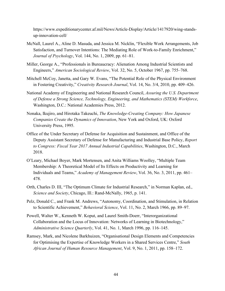[https://www.expeditionarycenter.af.mil/News/Article-Display/Article/1417920/wing-stands](https://www.expeditionarycenter.af.mil/News/Article-Display/Article/1417920/wing-stands-up-innovation-cell/)up-innovation-cell/

- McNall, Laurel A., Aline D. Masuda, and Jessica M. Nicklin, "Flexible Work Arrangements, Job Satisfaction, and Turnover Intentions: The Mediating Role of Work-to-Family Enrichment," *Journal of Psychology*, Vol. 144, No. 1, 2009, pp. 61–81.
- Miller, George A., "Professionals in Bureaucracy: Alienation Among Industrial Scientists and Engineers," *American Sociological Review*, Vol. 32, No. 5, October 1967, pp. 755–768.
- Mitchell McCoy, Janetta, and Gary W. Evans, "The Potential Role of the Physical Environment in Fostering Creativity," *Creativity Research Journal*, Vol. 14, No. 3/4, 2010, pp. 409–426.
- National Academy of Engineering and National Research Council, *Assuring the U.S. Department of Defense a Strong Science, Technology, Engineering, and Mathematics (STEM) Workforce*, Washington, D.C.: National Academies Press, 2012.
- Nonaka, Ikujiro, and Hirotaka Takeuchi, *The Knowledge-Creating Company: How Japanese Companies Create the Dynamics of Innovation*, New York and Oxford, UK: Oxford University Press, 1995.
- Office of the Under Secretary of Defense for Acquisition and Sustainment, and Office of the Deputy Assistant Secretary of Defense for Manufacturing and Industrial Base Policy, *Report to Congress: Fiscal Year 2017 Annual Industrial Capabilities*, Washington, D.C., March 2018.
- O'Leary, Michael Boyer, Mark Mortensen, and Anita Williams Woolley, "Multiple Team Membership: A Theoretical Model of Its Effects on Productivity and Learning for Individuals and Teams," *Academy of Management Review*, Vol. 36, No. 3, 2011, pp. 461– 478.
- Orth, Charles D. III, "The Optimum Climate for Industrial Research," in Norman Kaplan, ed., *Science and Society*, Chicago, Ill.: Rand-McNally, 1965, p. 141.
- Pelz, Donald C., and Frank M. Andrews, "Autonomy, Coordination, and Stimulation, in Relation to Scientific Achievement," *Behavioral Science*, Vol. 11, No. 2, March 1966, pp. 89–97.
- Powell, Walter W., Kenneth W. Koput, and Laurel Smith-Doerr, "Interorganizational Collaboration and the Locus of Innovation: Networks of Learning in Biotechnology," *Administrative Science Quarterly*, Vol. 41, No. 1, March 1996, pp. 116–145.
- Ramsey, Mark, and Nicolene Barkhuizen, "Organisational Design Elements and Competencies for Optimising the Expertise of Knowledge Workers in a Shared Services Centre," *South African Journal of Human Resource Management*, Vol. 9, No. 1, 2011, pp. 158–172.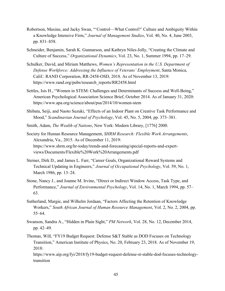- Robertson, Maxine, and Jacky Swan, "'Control—What Control?' Culture and Ambiguity Within a Knowledge Intensive Firm," *Journal of Management Studies*, Vol. 40, No. 4, June 2003, pp. 831–858.
- Schneider, Benjamin, Sarah K. Gunnarson, and Kathryn Niles-Jolly, "Creating the Climate and Culture of Success," *Organizational Dynamics*, Vol. 23, No. 1, Summer 1994, pp. 17–29.
- Schulker, David, and Miriam Matthews, *Women's Representation in the U.S. Department of Defense Workforce: Addressing the Influence of Veterans' Employment*, Santa Monica, Calif.: RAND Corporation, RR-2458-OSD, 2018. As of November 13, 2019: [https://www.rand.org/pubs/research\\_reports/RR2458.html](https://www.rand.org/pubs/research_reports/RR2458.html)
- Settles, Isis H., "Women in STEM: Challenges and Determinants of Success and Well-Being," American Psychological Association Science Brief, October 2014. As of January 31, 2020: <https://www.apa.org/science/about/psa/2014/10/women-stem>
- Shibata, Seiji, and Naoto Suzuki, "Effects of an Indoor Plant on Creative Task Performance and Mood," *Scandinavian Journal of Psychology*, Vol. 45, No. 5, 2004, pp. 373–381.
- Smith, Adam, *The Wealth of Nations*, New York: Modern Library, [1776] 2000.
- Society for Human Resource Management, *SHRM Research: Flexible Work Arrangements*, Alexandria, Va., 2015. As of December 11, 2019: [https://www.shrm.org/hr-today/trends-and-forecasting/special-reports-and-expert](https://www.shrm.org/hr-today/trends-and-forecasting/special-reports-and-expert-views/Documents/Flexible%20Work%20Arrangements.pdf)views/Documents/Flexible%20Work%20Arrangements.pdf
- Steiner, Dirk D., and James L. Farr, "Career Goals, Organizational Reward Systems and Technical Updating in Engineers," *Journal of Occupational Psychology*, Vol. 59, No. 1, March 1986, pp. 13–24.
- Stone, Nancy J., and Joanne M. Irvine, "Direct or Indirect Window Access, Task Type, and Performance," *Journal of Environmental Psychology*, Vol. 14, No. 1, March 1994, pp. 57– 63.
- Sutherland, Margie, and Wilhelm Jordaan, "Factors Affecting the Retention of Knowledge Workers," *South African Journal of Human Resource Management*, Vol. 2, No. 2, 2004, pp. 55–64.
- Swanson, Sandra A., "Hidden in Plain Sight," *PM Network*, Vol. 28, No. 12, December 2014, pp. 42–49.
- Thomas, Will, "FY19 Budget Request: Defense S&T Stable as DOD Focuses on Technology Transition," American Institute of Physics, No. 20, February 23, 2018. As of November 19, 2018:

[https://www.aip.org/fyi/2018/fy19-budget-request-defense-st-stable-dod-focuses-technology](https://www.shrm.org/hr-today/trends-and-forecasting/special-reports-and-expert-views/Documents/Flexible%20Work%20Arrangements.pdf)transition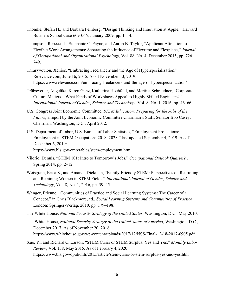- Thomke, Stefan H., and Barbara Feinberg, "Design Thinking and Innovation at Apple," Harvard Business School Case 609-066, January 2009, pp. 1–14.
- Thompson, Rebecca J., Stephanie C. Payne, and Aaron B. Taylor, "Applicant Attraction to Flexible Work Arrangements: Separating the Influence of Flextime and Flexplace," *Journal of Occupational and Organizational Psychology*, Vol. 88, No. 4, December 2015, pp. 726– 749.
- Thrasyvoulou, Xenios, "Embracing Freelancers and the Age of Hyperspecialization," Relevance.com, June 16, 2015. As of November 13, 2019: <https://www.relevance.com/embracing-freelancers-and-the-age-of-hyperspecialization/>
- Trübswetter, Angelika, Karen Genz, Katharina Hochfeld, and Martina Schraudner, "Corporate Culture Matters—What Kinds of Workplaces Appeal to Highly Skilled Engineers?" *International Journal of Gender, Science and Technology*, Vol. 8, No. 1, 2016, pp. 46–66.
- U.S. Congress Joint Economic Committee, *STEM Education: Preparing for the Jobs of the Future*, a report by the Joint Economic Committee Chairman's Staff, Senator Bob Casey, Chairman, Washington, D.C., April 2012.
- U.S. Department of Labor, U.S. Bureau of Labor Statistics, "Employment Projections: Employment in STEM Occupations 2018–2028," last updated September 4, 2019. As of December 6, 2019: <https://www.bls.gov/emp/tables/stem-employment.htm>
- Vilorio, Dennis, "STEM 101: Intro to Tomorrow's Jobs," *Occupational Outlook Quarterly*, Spring 2014, pp. 2–12.
- Weisgram, Erica S., and Amanda Diekman, "Family-Friendly STEM: Perspectives on Recruiting and Retaining Women in STEM Fields," *International Journal of Gender, Science and Technology*, Vol. 8, No. 1, 2016, pp. 39–45.
- Wenger, Etienne, "Communities of Practice and Social Learning Systems: The Career of a Concept," in Chris Blackmore, ed., *Social Learning Systems and Communities of Practice*, London: Springer-Verlag, 2010, pp. 179–198.
- The White House, *National Security Strategy of the United States*, Washington, D.C., May 2010.
- The White House, *National Security Strategy of the United States of America*, Washington, D.C., December 2017. As of November 20, 2018: <https://www.whitehouse.gov/wp-content/uploads/2017/12/NSS-Final-12-18-2017-0905.pdf>
- Xue, Yi, and Richard C. Larson, "STEM Crisis or STEM Surplus: Yes and Yes," *Monthly Labor Rev*iew, Vol. 138, May 2015. As of February 4, 2020: <https://www.bls.gov/opub/mlr/2015/article/stem-crisis-or-stem-surplus-yes-and-yes.htm>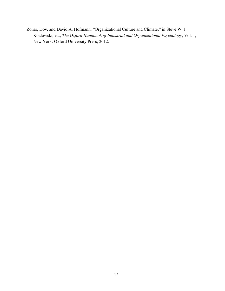Zohar, Dov, and David A. Hofmann, "Organizational Culture and Climate," in Steve W. J. Kozlowski, ed., *The Oxford Handbook of Industrial and Organizational Psychology*, Vol. 1, New York: Oxford University Press, 2012.